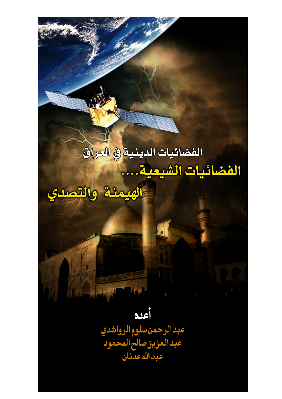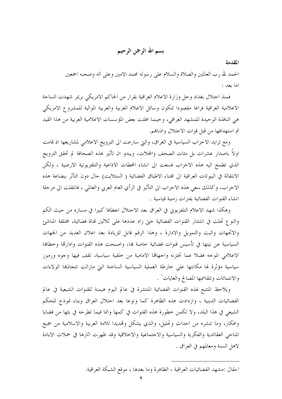بسم الله الرحمن الرحيم

المقدمة

الحمد لله رب العالمين والصلاة والسلام على رسوله محمد الامين وعلى اله وصحبه اجمعين اما بعد :

فمنذ احتلال بغداد وحل وزارة الاعلام العراقية بقرار من الحاكم الامريكي بريمر شهدت الساحة الاعلامية العراقية فراغا مقصودا لتكون وسائل الاعلام الغربية والعربية الموالية للمشروع الامريكي هي النافذة الوحيدة للمشهد العراقي، وحينما افلتت بعض المؤسسات الاعلامية العربية من هذا القيد تم استهدافها من قبل قوات الاحتلال وإذناهم.

ومع تزايد الاحزاب السياسية في العراق، والتي سارعت الى الترويج الاعلامي لمشاريعها اذ قامت اولاً باصدار عشرات بل مئات الصحف والمحلات، ويبدو ان تأثير هذه الصحافة لم تحقق الترويج الذي تطمح اليه هذه الاحزاب فسعت الى انشاء المحطات الاذاعية والتلفزيونية الارضية ، ولكن الانتقالة في البيوتات العراقية الى اقتناء الاطباق الفضائية ( الستلايت) حال دون التأثر ببضاعة هذه الاحزاب، وكذلك سعى هذه الاحزاب الى التأثير في الرأي العام العربي والعالمي ، فانتقلت الى مرحلة انشاء القنوات الفضائية بفترات زمنية قياسية .

وهكذا شهد الاعلام التلفزيوني في العراق بعد الاحتلال انعطافا كبيرا في مساره من حيث الكم والنوع تجلت في انتشار القنوات الفضائية حتى زاد عددها على ثلاثين قناة فضائية، مختلفة المناشئ والاتجهات والبث والتمويل والادارة ، وهذا الرقم قابل للزيادة بعد اعلان العديد من الجهات السياسية عن نيتها في تأسيس قنوات فضائية خاصة بما، واصبحت هذه القنوات وادارقما وخطاها الاعلامي الموجه فضلا عما تختزنه واجهاقما الامامية من خلفية سياسية، تقف فيها وجوه ورموز سياسية مؤثرة لها مكانتها على خارطة العملية السياسية الساخنة التي مازالت تتحاذها الولاءات والانتمائات وتتقاسمها المصالح والغايات` .

ويلاحظ المتتبع لهذه القنوات الفضائية المنتشرة في عالم اليوم هيمنة للقنوات الشيعية في عالم الفضائيات الدينية ، وازدادت هذه الظاهرة كما ونوعا بعد احتلال العراق وبناء نموذج للحكم الشيعي في هذا البلد، ولا تكمن خطورة هذه القنوات في كمها وانما فيما تطرحه في بثها من قضايا وإفكار، وما تنشره من احداث وتحليل، والذي يشكل وتمديدا للامة العربية والاسلامية من جميع المناحي العقائدية والفكرية والسياسية والاجتماعية والاخلاقية وقد ظهرت اثارها في حملات الابادة لاهل السنة ومعالمهم في العراق .

<sup>&</sup>lt;sup>1</sup> مقال :مشهد الفضائيات العراقية ، الظاهرة وما بعدها ، موقع الشبكة العراقية.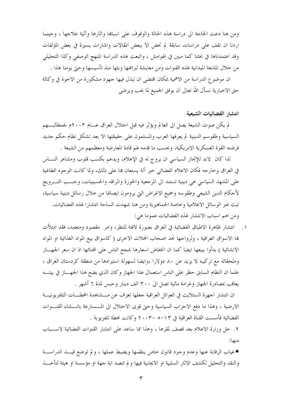ومن هنا دعت الحاجة الى دراسة هذه الحالة والوقوف على اسباها واثارها وآلية علاجها ، وحينما اردنا ان نقف على دراسات سابقة لم نحض الا ببعض المقالات واشارات يسيرة في بعض المؤلفات وقد اعتمدناها في بحثنا كما مبين في الهوامش ، واتبعت هذه الدراسة المنهج الوصفى وكذا التحليلي من خلال المتابعة الميدانية لهذه القنوات ومن معايشة لبرامجها وبثها منذ تأسيسها وحتى يومنا هذا .

ان موضوع الدراسة من الاهمية بمكان اقتضى ان تبذل فيها جهود مشكورة من الاخوة في وكالة حق الاخبارية نسأل الله تعالى ان يوفق الجميع لما يحب ويرضى

#### انتشار الفضائيات الشيعية

لم يكن صوت الشيعة يصل الى العالم ويؤثر فيه قبل احتلال العراق عــــام ٢٠٠٣م ،فمطالبــــهم السياسية وطقوسم الدينية لم يعرفها العرب والمسلمون على حقيقتها الا بعد تشكل نظام حكم حديد فرضته القوة العسكرية الامريكية، وبحسب ما قدمه لهم قادة المعارضة ومعظمهم من الشيعة .

لذا كان لابد للإنجاز السياسي ان يروج له في الإعلام، ويدعم بكسب قلوب ومشاعر النـــاس في العراق وخارجه فكان الاعلام الفضائي حير آلة يستعان بما على ذلك، ولما كانت الوجوه الطاغية على المشهد السياسي هي دينية تستند الى المرجعية والحوزة والمراقد والحسينيات، وحــب التـــرويج لأحكام الدين الشيعي وطقوسه وجميع الاغراض التي يرومون ايصالها من خلال رسائل دينية سياسية، تبتْ عبر الوسائل الاعلامية وخاصة الجماهيرية ومن هنا شهدت الساحة انتشارا لهذه الفضائيات. ومن اهم اسباب الانتشار لهذه الفضائيات عموما هي:

١. انتشار ظاهرة الاطباق الفضائية في العراق بصورة لافتة للنظر، وامر مقصود ومتعمد، فقد امتلأت ها الاسواق العراقية ، ولرواجها نجد اصحاب المحلات الاخرى ( كاسواق بيع المواد الغذائية او المواد الانشائية ) بدأوا ببيعها ايضا كما ان انخفاض اسعارها شجع الناس على اقتنائها اذ ان سعر الجهـــاز وملحقاته مع تركيبه لا يزيد عن ٨٠ دولارا ،وايضا لسهولة استيرادها من منطقة كردستان العراق ، علما ان النظام السابق حظر على الناس استعمال هذا الجهاز وكان الذي يضع هذا الجهـــاز في بيتــــه يعاقب بمصادرة الجهاز وغرامة مالية تصل الى ٣٠٠ الف دينار وحبس لمدة ٦ أشهر .

ان انتشار اجهزة الستلايت في العوائل العراقية جعلها تعزف عن مـــشاهدة المحطـــات التلفزيونيـــة الارضية ، وهذا ما دفع الاحزاب السياسية وحيٍّ قوى الاحتلال الى المـــسارعة بانـــشاء القنـــوات الفضائية فأسست القناة العراقية في ١٣–٥ –٢٠٠٣ وكانت محطة تلفزيوبة .

٢. حل وزارة الإعلام بعد قصف لمقرها ، وهذا مما ساعد على انتشار القنوات الفضائية لاســـباب منها:

●غياب الرقابة عنها وعدم وجود قانون خاص ينظمها ويضبط عملها ، و لم توضع قيـــد الدراســـة والنقد والتحليل لكشف الاثار السلبية او الايجابية فيها و لم تتصد اية جهة او مؤسسة او هيئة لتأخـــذ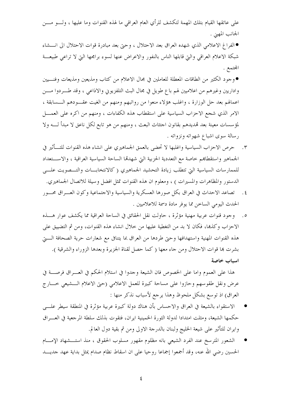على عاتقها القيام بتلك المهمة لتكشف للرأي العام العراقي ما لهذه القنوات وما عليها ، ولــــو مــــن الجانب المهني .

● الفراغ الاعلامي الذي شهده العراق بعد الاحتلال ، وحيّ بعد مبادرة قوات الاحتلال الي انــــشاء شبكة الاعلام العراقي والتي قابلها الناس بالنفور والاعراض عنها لسوء برامجها التي لا تراعي طبيعـــة المجتمع .

●وجود الكثير من الطاقات المعطلة للعاملين في مجال الاعلام من كتاب ومذيعين ومذيعات وفنسيين وإداريين وغيرهم من اعلاميين لهم باع طويل في مجال البث التلفزيويي والاذاعبي ، وقد طــــردوا مـــــن اعمالهم بعد حل الوزارة ، واغلب هؤلاء منعوا من رواتبهم ومنهم من الغيت عقـــودهم الــــسابقة ، الامر الذي شجع الاحزاب السياسية على استقطاب هذه الكفاءات ، ومنهم من اكره على العمــــل لمؤسسات معينة بعد تمديدهم بقانون احتثاث البعث ، ومنهم من هو تابع لكل ناعق لا مبدأ لــــه ولا رسالة سوى اشباع شهواته ونزواته .

- ٣. حرص الاحزاب السياسية واغلبها لا تحضى بالعمق الجماهيري على انشاء هذه القنوات للتـــأثير في الجماهير واستقطاهم حاصة مع التعددية الحزبية التي شهدقما الساحة السياسية العراقية ، والاســـتعداد للممارسات السياسية التي تتطلب زيادة التحشيد الجماهيري ( كالانتخابـــات والتــــصويت علــــي الدستور والمظاهرات والمسيرات ) ، ومعلوم ان هذه القنوات تمثل افضل وسيلة للاتصال الجماهيري.
- ٤. تصاعد الاحداث في العراق بكل صورها العسكرية والسياسية والاحتماعية وكون العـــراق محـــور الحدث اليومي الساحن مما يوفر مادة دسمة للاعلاميين .
- ٥. وجود قنوات عربية مهنية مؤثَّرة ، حاولت نقل الحقائق في الساحة العراقية مما يكشف عوار هـــذه الاحزاب وكذها، فكان لا بد من التغطية عليها من حلال انشاء هذه القنوات، ومن ثم التضييق على هذه القنوات المهنية واستهدافها وحتى طردها من العراق بما يتنافى مع شعارات حرية الصحافة الستي بشرت ها قوات الاحتلال ومن جاء معها ( كما حصل لقناة الجزيرة وبعدها الزوراء والشرقية ). اسباب خاصة

هذا على العموم واما على الخصوص فان الشيعة وجدوا في استلام الحكم في العـــراق فرصــــة في عرض ونقل طقوسهم وحازوا على مساحة كبيرة للعمل الاعلامي (حتى الاعلام الـــشيعي خــــارج العراق) اذ توسع بشكل ملحوظ وهذا يرجع لأسباب نذكر منها :

- الاستقواء بالشيعة في العراق والاحساس بأن هناك دولة كبيرة عربية مؤثرة في المنطقة سيطر علـــي حكمها الشيعة، ومثلت امتدادا لدولة الثورة الخمينية ايران، فتقوت بذلك سلطة المرجعية في العــــراق وايران للتأثير على شيعة الخليج ولبنان بالدرجة الاولى ومن ثم بقية دول العالم.
- الشعور المترسخ عند الفرد الشيعي بانه مظلوم مقهور مسلوب الحقوق ، منذ استـــشهاد الإمـــام الحسين رضي الله عنه، وقد أجمعوا إجماعا روحيا على ان اسقاط نظام صدام يمثل بداية عهد حديـــد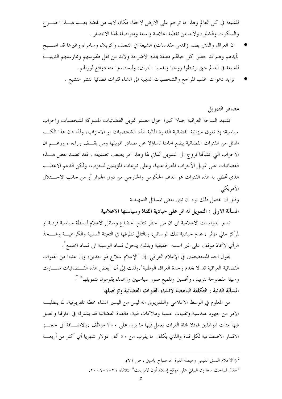للشيعة في كل العالم وهذا ما ترجم على الارض لاحقا، فكان لابد من فمضة بعـــد هـــذا الخنـــو ع والسكوت والشلل، ولابد من تغطية اعلامية واسعة ومتواصلة لهذا الانتصار .

- ان العراق والذي يضم (اقدس مقدسات) الشيعة في النجف وكربلاء وسامراء وغيرها قد اصــبح بأيدهم وهم قد جعلوا كل حياقم معلقة بمذه الاضرحة ولابد من نقل طقوسهم وممارستهم الدينيـــة للشيعة في العالم حتى يرتبطوا روحيا ونفسيا بالعراق، وليستمدوا منه دوافع ثوراقم .
	- تزايد دعوات اغلب المراجع والشخصيات الدينية الى انشاء قنوات فضائية لنشر التشيع .

#### مصادر التمويل

تشهد الساحة العراقية حدلا كبيرا حول مصدر تمويل الفضائيات المملوكة لشخصيات واحزاب سياسية؛ إذ تفوق ميزانية الفضائية القدرة المالية لهذه الشخصيات او الاحزاب، ولذا فان هذا الكسم الهائل من القنوات الفضائية يضع امامنا تساؤلا عن مصادر تمويلها ومن يقــف وراءه ، ورغـــم ان الاحزاب التي انشألها تروج الى التمويل الذاتي لها وهذا امر يصعب تصديقه ، فقد تعتمد بعض هــــذه الفضائيات على تمويل الأحزاب المعبرة عنها، وعلى تبرعات المؤيدين للحزب، ولكن الدعم الاعظـــم الذي تحظى به هذه القنوات هو الدعم الحكومي والخارجي من دول الجوار أو من حانب الاحـــتلال الأمريكي.

> وقبل ان نفصل ذلك نود ان نبين بعض المسائل التمهيدية المسألة الاولى : التمويل له اثر على حيادية القناة وسياستها الاعلامية

تشير الدراسات الاعلامية الى ان من اخطر نتائج اخضاع وسائل الاعلام لسلطة سياسية فردية او لمركز مالي مؤثر ، عدم حيادية تلك الوسائل، وبالتالي تطرفها في التعبئة السلبية والكراهيــــة وشــــحذ الرأي لاتخاذ موقف على غير اسسه الحقيقية وبذلك يتحول فساد الوسيلة الى فساد المحتمع ْ .

يقول احد المتخصصين في الإعلام العراقي: إن "الإعلام سلاح ذو حدين، وإن عددا من القنوات الفضائية العراقية قد لا يخدم وحدة العراق الوطنية".ولفت إلى أن "بعض هذه الفـــضائيات صــــارت وسيلة مفضوحة لتزييف وتحسين وتلميع صور سياسيين وزعماء يقومون بتمويلها" ٣. المسألة الثانية : التكلفة الباهضة لانشاء القنوات الفضائية وتواصلها

من المعلوم في الوسط الاعلامي والتلفزيوين انه ليس من اليسير انشاء محطة تلفزيونية، لما يتطلبـــه الامر من جهود هندسية وتقنيات علمية وملاكات فنية، فالقناة الفضائية قد يشترك في ادارتما والعمل فيها مئات الموظفين فمثلا قناة الفرات يعمل فيها ما يزيد على ٣٠٠ موظف ،بالاضـــافة الى حجـــز الاقمار الاصطناعية لكل قناة والذي يكلف ما يقرب من ٤٠ ألف دولار شهريا أي أكثر من أربعـــة

- ( الاعلام النسق القيمي وهيمنة القوة :د صباح ياسين ، ص ٧١).
- <sup>3</sup> مقال للباحث سعدون البياتي على موقع إسلام أون لاين.نت" الثلاثاء ٢١−١−٦. ٢٠٠.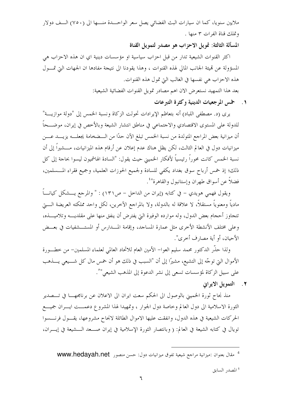ملايين سنويا، كما ان سيارات البث الفضائي يصل سعر الواحـــدة منــــها الى (٧٥٠) الـــف دولار وتملك قناة الفرات ٣ منها .

المسألة الثالثة: تمويل الاحزاب هو مصدر لتمويل القناة

اكثر القنوات الشيعية تدار من قبل احزاب سياسية او مؤسسات دينية اي ان هذه الاحزاب هي المسؤولة عن قميئة الجانب المالي لهذه القنوات ، وهذا يقودنا الى نتيجة مفادها ان الجهات التي تمــــول هذه الاحزاب هي نفسها في الغالب التي تمول هذه القنوات.

بعد هذا التمهيد نستعرض الان اهم مصادر تمويل القنوات الفضائية الشيعية:

١. ﴿ حَمْسَ الْمَرْجِعِيَاتِ الْدِينِيَةِ وَكَثَرَةِ الْتَبَرَّعَاتِ

يري (د. مصطفى اللباد) أنه بتعاظم الإيرادات تحولت الزكاة ونسبة الخمس إلى "دولة موازيـــة" للدولة على المستوى الاقتصادي والاحتماعي في مناطق انتشار الشيعة وبالأخص في إيران، موضـــحاً أن ميزانية بعض المراجع المتولدة من نسبة الخمس تبلغ الآن حدًا من الـــضخامة يجعلــــه يزيــــد عــــن ميزانيات دول في العالم الثالث، لكن يظل هناك عدم إعلان عن أرقام هذه الميزانيات، مــــشيراً إلى أن نسبة الخمس كانت محوراً رئيسياً لأفكار الخميني حيث يقول: "السادة الهاشميون ليسوا بحاحة إلى كل ذلك؛ إذ خمس أرباح سوق بغداد يكفي للسادة ولجميع الحوزات العلمية، وجميع فقراء المـــسلمين، فضلاً عن أسواق طهران وإستانبول والقاهرة"<sup>؛</sup>.

ويقول فهمي هويدي – في كتابه (إيران من الداخل – ص٢١) : " والمرجع يــــشكل كيانــــاً مادياً ومعنوياً مستقلاً، لا علاقة له بالدولة، ولا بالمراجع الآخرين، لكل واحد مملكته العريضة الـــــتي تتجاوز أحجام بعض الدول، وله موارده الوفيرة التي يفترض أن ينفق منها على مقلديــــه وتلاميــــذه، وعلى مختلف الأنشطة الأخرى مثل عمارة المساجد، وإقامة المسدارس أو المستـــشفيات في بعـــض الأحيان، أو أية مصارف أخرى".

ولذا حذَّر الدكتور محمد سليم العوا– الأمين العام للاتحاد العالمي لعلماء المسلمين– من خطـــورة الأموال التي توجَّه إلى التشيع، مشيرًا إلى أن "السبب في ذلك هو أن خمس مال كل شــــيعي يــــذهب على سبيل الزكاة لمؤسسات تسعى إلى نشر الدعوة إلى المذهب الشيعي" ْ.

٢. التمويل الايواني

منذ نجاح ثورة الخميين بالوصول الى الحكم سعت ايران الى الاعلان عن برنامجهـــا في تــــصدير الثورة الاسلامية الى دول العالم وخاصة دول الجوار ، وتمهيدا لهذا المشروع دعمـــت ايـــران جميـــع الحركات الشيعية في هذه الدول، وإنفقت عليها الاموال الطائلة لانجاح مشروعها، يقـــول فرنــــسوا تويال في كتابه الشيعة في العالم: ( وبانتصار الثورة الإسلامية في إيران صـــعد الـــشيعة في إيــــران،

<sup>5</sup> المصدر السابق

<sup>&</sup>lt;sup>4</sup> مقال بعنوان :ميزانية مراجع شيعية تفوق ميزانيات دول: حسن منصور **www.hedayah.net**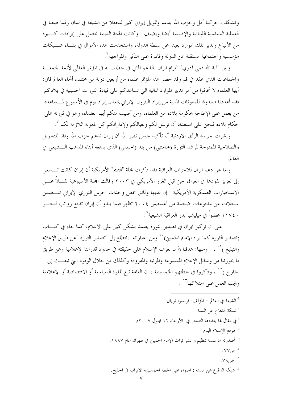وتشكلت حركتا أمل وحزب الله بدعم وتمويل إيراني كبير لتجعلا من الشيعة في لبنان رقما صعبا في العملية السياسية اللبنانية والإقليمية أيضا.ويضيف : وكانت الهيئة الدينية تحصل على إيرادات كـــبيرة من الأتباع وتدير تلك الموارد بعيدا عن سلطة الدولة، واستخدمت هذه الأموال في بنـــاء شـــبكات مؤسسية واحتماعية مستقلة عن الدولة وقادرة على التأثير والمواجهة<sup>٦</sup>.

وبين "آية الله قمي آذري" التزام ايران بالدعم المالي في خطاب له في المؤتمر العالمي لأئمة الجمعـــة والجماعات الذي عقد في قم وقد حضر هذا المؤتمر علماء من أربعين دولة من مختلف أنحاء العالم قال: أيها العلماء لا تخافوا من أمر تدبير الموارد المالية التي تساعدكم على قيادة الثورات الخمينية في بلادكم فقد أعددنا صندوقا للمعونات المالية من إيراد البترول الإيراني بمعدل إيراد يوم في الأسبوع لمـــساعدة من يعمل على الإطاحة بحكومة بلاده من العلماء، ومن أصيب منكم أيها العلماء، وهو في ثورته على حكام بلاده فنحن على استعداد أن نرسل لكم ولعيالكم ولإداراتكم كل المعونة اللازمة لكم ``.

ونشرت جريدة الرأي الاردنية ^، تأكيد حسن نصر الله أن إيران تدعم حزب الله وفقا للتخويل والصلاحية الممنوحة لمرشد الثورة (خامنئي) من بند (الخمس) الذي يدفعه أبناء المذهب الـــشيعي في العالم.

واما عن دعم ايران للاحزاب العراقية فقد ذكرت مجلة "التايم" الأمريكية أن إيران كانت تـــسعى إلى تعزيز نفوذها في العراق حتى قبل الغزو الأمريكي في ٢٠٠٣ وقالت المحلة الأسبوعية نقــــلاً عــــن الاستخبارات العسكرية الأمريكية : إن لديها وثائق تخص وحدات الحرس الثوري الإيراني تتـــضمن سجلات عن مدفوعات ضخمة من أغسطس ٢٠٠٤ تظهر فيما يبدو أن إيران تدفع رواتب لنحـــو ١١٧٤٠ عضواً في ميليشيا بدر العراقية الشيعية ٌ.

على ان تركيز ايران في تصدير الثورة يعتمد بشكل كبير على الاعلام، كما جاء في كتــــاب (تصدير الثورة كما يراه الإمام الخميني) `` ومن عباراته :نتطلع إلى "تصدير الثورة "عن طريق الإعلام والتبليغ )`` ، ومنها: هدفنا (أ ن نعرف الإسلام على حقيقته في حدود قدراتنا الإعلامية وعن طريق ما بحوزتنا من وسائل الإعلام المسموعة والمرئية والمقروءة وكذلك من حلال الوفود التي تبعـــث إلى الحارج ) `` ، وذكروا في خطتهم الخمسينية : ان العامة تبع للقوة السياسية أو الاقتصادية أو الإعلامية ويجب العمل على امتلاكها<sup>١٣</sup> .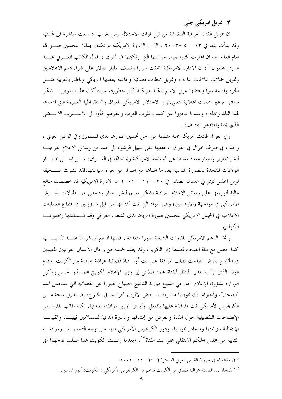## ۳. تمویل امریکی جلبی

ان تمويل القناة العراقية الفضائية من قبل قوات الاحتلال ليس بغريب اذ سعت مباشرة الى تميئتها وقد بدأت بثها في ١٣ – ٥ –٢٠٠٣ ، الا ان الادارة الامريكية لم تكتف بذلك لتحسين صـــورقما امام العالم بعد ان اهتزت كثيرًا جراء جرائمها التي ارتكبتها في العراق ، يقول الكاتب العــــربي عبــــد الباري عطوان°` ان الادارة الامريكية انفقت مليارا ونصف المليار دولار على شراء ذمم الاعلاميين وتمويل حملات علاقات عامة ، وتمويل محطات فضائية وإذاعية بعضها امريكي وناطق بالعربية مثـــل الحرة وإذاعة سوا وبعضها عربي الاسم بلكنة امريكية اكثر خطورة، سواء أكان هذا التمويل بـــشكل مباشر ام عبر حملات اعلانية تتغنى بمزايا الاحتلال الامريكي للعراق والديمقراطية العظيمة التي قدموها لهذا البلد واهله ، وعندما عجزوا عن كسب قلوب العرب وعقولهم لجأوا الى الاســــلوب الامــــضى الذي يجيدو نه(وهو القصف) .

وفي العراق قادت امريكا حملة منظمة من احل تحسين صورتما لدى المسلمين وفي الوطن العربي ، وتجلت في صرف اموال في العراق تم دفعها على سبيل الرشوة الى عدد من وسائل الاعلام العراقيـــة لنشر تقارير واحبار معدة مسبقا عن السياسة الامريكية ونحاحالها في العـــراق، مـــن احـــل اظهــــار الولايات المتحدة بالصورة المناسبة بعد ما اصابها من اضرار من جراء سياستها،فقد نشرت صـــحيفة لوس انجلس تايمز في عددها الصادر في ٣٠ – ١١ – ٢٠٠٥ ان الادارة الامريكية قد خصصت مبالغ مالية لتوزيعها على وسائل الاعلام العراقية بشكل سري لنشر احبار وقصص عن بطولات الجسيش الامريكي في مواجهة (الارهابيين) وهي المواد التي تمت كتابتها من قبل مسؤولين في قطاع العمليات الاعلامية في الجيش الامريكي لتحسين صورة امريكا لدى الشعب العراقي وقد تـــسلمتها (مجموعـــة لنكولن.

واتخذ الدعم الامريكي للقنوات الشيعية صورا متعددة ، فمنها الدفع المباشر لها عنـــد تأسيــــسها كما حصل مع قناة الفيحاء فعندما زار الكويت وفد يضم خمسة من رحال الأعمال العراقيين المقيمين في الخارج بغرض التباحث لطلب الموافقة على بث أول قناة فضائية عراقية خاصة من الكويت. وقدم الوفد الذي ترأسه المدير المنتظر للقناة محمد الطائبي إلى وزير الإعلام الكويتي محمد أبو الحسن ووكيل الوزارة لشؤون الإعلام الخارجي الشيخ مبارك الدعيج الصباح تصورا عن الفضائية التي ستحمل اسم "الفيحاء"، وأحبرهما بأن تمويلها مشترك بين بعض الأثرياء العراقيين في الخارج، إضافة إلى منحة مــــن الكونجرس الأمريكي تمت الموافقة عليها بالفعل. وأبدى الوزير موافقته المبدئية، لكنه طالب بالمزيد من الإيضاحات التفصيلية حول القناة والغرض من إنشائها والسيرة الذاتية للمساهمين فيهــا، والقيمـــة الإجمالية لميزانيتها ومصادر تمويلها، ودور الكونجرس الأمريكي فيها على وجه التحديـــد، وموافقـــة كتابية من مجلس الحكم الانتقالي على بث القناة°`، وبعدما رفضت الكويت هذا الطلب توجهوا الي

- <sup>14</sup> في مقالة له في جريدة القدس العربي الصادرة في ٢٣ ٢٠٠٥ ٢٠٠٥.
- 15 "الفيحاء"… فضائية عراقية تنطلق من الكويت بدعم من الكونجرس الأمريكي : الكويت: أنور الياسين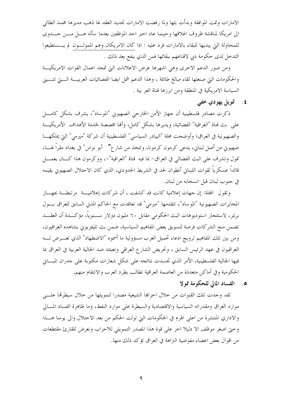الامارات وتمت الموافقة وبدأت بثها ولما رفضت الامارات تحديد العقد لها ذهب مديرها محمد الطائبي الى امريكا لمناقشة ظروف اغلاقها وحينما عاد احبر احد الموظفين بعدما سأله هـــل مـــن جــــدوى للمحاولة التي يبديها للبقاء بالامارات فرد عليه : اذا كان الامريكان وهم الممولـــون لم يــــستطيعوا التدخل لدى حكومة دبي لاقناعهم ببقائها فمن الذي ينفع بعد ذلك .

ومن صور الدعم الاخرى وهي اشهرها عرض الاعلانات التي تمجد اعمال القوات الامريكيــة والحكومات التي صنعتها لقاء مبالغ طائلة ، وهذا الدعم شمل ايضا الفضائيات العربيـــة الــــتي تتــــبني السياسة الامريكية في المنطقة ومن ابرزها قناة العر بية .

٤ . \_ قويل پهودې خفي

ذكرت مصادر فلسطينية أن جهاز الأمن الخارجي الصهيوين "الموساد"، يشرف بشكل كامــــل علمي بث قناة "العراقية" الفضائية، ويديرها بشكل كامل، وألها مخصصة لخدمة الأهداف الأمريكيـــة والصهيونية في العراق؛ وأوضحت مجلة "البيادر السياسي" الفلسطينية أن شركة "ميرمي" التي يملكهـــا صهيوين من أصل لبناني، يدعى كرمون كرمونا، وتتخذ من شارع" \_ أبو نواس" في بغداد مقراً لهـــا، قمول وتشرف على البث الفضائي في العراق- بما فيه قناة "العراقية"-، ووكرمون هذا كـــان يعمــــل قائداً عسكرياً لقوات اللبناني أنطوان لحد في الشريط الحدودي، الذي كان الاحتلال الصهيوبي يقيمه في جنوب لبنان قبل انسحابه من لبنان.

وتقول ۖ المجلة: إن جهات إعلامية كانت قد كشفت ، أن شركات إعلاميــــة ۖ مرتبطـــة بجهــــاز المخابرات الصهيونية "الموساد"، تتقدمها "ميرمي" قد تعاقدت مع الحاكم المدني السابق للعراق بــول بريمر، لاستئجار استوديوهات البث الحكومي مقابل ٦٠ مليون دولار ســـنوياً، مؤكـــدة أن العقـــد تضمن منح الشركات فرصة لتسويق بعض المفاهيم السياسية، ضمن بث تليفزيويي يشاهده العراقيون، ومن بين تلك المفاهيم ترويج ادعاء تحميل العرب مسؤولية ما أسموه "الاضطهاد" الذي تعــــرض لـــــه العراقيون في عهد الرئيس السابق ، وتحريض الشارع العراقي وتعبئته ضد الجالية العربية في العراق بما فيها الجالية الفلسطينية، الأمر الذي تجسدت نتائجه على شكلٍ شعارات مكتوبة على حدران المبـــايي الحكومية وفي أماكن متعددة من العاصمة العراقية تطالب بطرد العرب والانتقام منهم.

٥. الفساد المالي للحكومة ممولا

لقد وجدت تلك القنوات من خلال احزاها الشيعية مصدرا لتمويلها من خلال سيطرقما علسى موارد العراق ومقدراته السياسية والاقتصادية والسيطرة على موارد النفط، وما ظاهرة الفساد المسالي والاداري المنتشرة من اعلى الهرم في الحكومات التي تولت الحكم من بعد الاحتلال والي يومنا هــــذا وحتى اصغر موظف الا دليلا احر على قوة هذا المصدر التمويلي للاحزاب ونعرض للقارئ مقتطعات من اقوال بعض اعضاء مفوضية النزاهة في العراق تؤكد ذلك منها.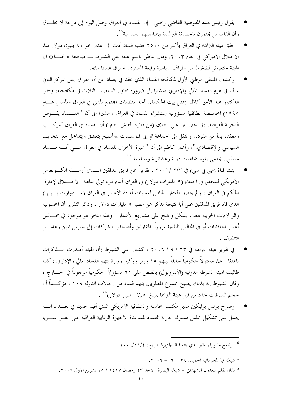- يقول رئيس هذه المفوضية القاضي راضي: إن الفساد في العراق وصل اليوم إلى درجة لا تطــاق وأن الفاسدين يحتمون بالحصانة البرلمانية وبمناصبهم السياسية'`.
- تحقق هيئة التزاهة في العراق بأكثر من ٢٥٠٠ قضية فساد أدت الى اهدار نحو ٨٠ بليون دولار منذ الاحتلال الاميركي في العام ٢٠٠٣. وقال الناطق باسم الهيئة على الشبوط لـ صحيفة «الحيــاة» ان الهيئة «تتعرض لضغوط من اطراف سياسية رفيعة المستوى لم يرق عملنا لها».
- وكشف الملتقى الوطني الأول لمكافحة الفساد الذي عقد في بغداد عن أن العراق يحتل المركز الثاني عالميا في هرم الفساد المالي والإداري ،مشيرا إلى ضرورة تعاون السلطات الثلاث في مكافحته، وحمل الدكتور عبد الأمير كاظم (ممثل بيت الحكمة.. أحد منظمات المحتمع المدني في العراق وتأسس عـــام ١٩٩٥) المحاصصة الطائفية مسؤولية إستشراء الفساد في العراق ، مشيرا إلى أن " الفـــساد يقــــوض التجربة العراقية."،في حين بين على العلاق (من دائرة المفتش العام ) أن الفساد في العراق "مركـــب ومعقد، بدأ من الفرد.. وإنتقل إلى الجماعة ثم إلى المؤسسات ،وأصبح يتعشق ويتداخل مع التخريب السياسي والإقتصادي."، وأشار كاظم الى أن " الميزة الأخرى للفساد في العراق هـــي أنــــه فــــساد مسلح.. يحتمي بقوة جماعات دينية وعشائرية وسياسية"\' .
- بثت قناة (البي بي سي) في ٢/٣ /٢٠٠٦ ، تقريراً عن فريق المدققين الــــذي أرســــله الكــــونغرس الأمريكي للتحقق في اختفاء (٩ مليارات دولار) في العراق أثناء فترة تولى سلطة الاحــــتلال لإدارة الحكم في العراق ، و لم يحصل المفتش الخاص لعمليات أعادة الأعمار في العراق (ســـتيوارت بـــوين) الذي قاد فريق المدققين على أية نتيجة تذكر عن مصير ٩ مليارات دولار ، وذكر التقرير أن المحسوبية والو لاءات الحزبية طغت بشكل واضح على مشاريع الأعمار . وهذا النخر هو موجود في مجـــالس أعمار المحافظات أو في المحالس البلدية مروراً بالمقاولين وأصحاب الشركات إلى حارس المبنى وعامــــل التنظيف .
- في تقرير لهيئة النزاهة في ٢٣ / ٩ / ٢٠٠٦ ، كشف على الشبوط (أن الهيئة أصدرت مـــذكرات باعتقال ٨٨ مسئولاً حكومياً سابقاً بينهم ١٥ وزير ووكيل وزارة بتهم الفساد المالى والإداري ، كما طالبت الهيئة الشرطة الدولية (الأنتروبول) بالقبض على ٦١ مسؤولاً حكومياً موجوداً في الخــــار ج ، وقال الشبوط إنه بذلك يصبح مجموع المطلوبين بتهم فساد من رحالات الدولة ١٤٩ ، مؤكـــداً أن حجم السرقات حدد من قبل هيئة النزاهة بمبلغ ٧,٥ مليار دولار)^` .
- وصرح بوتس بوليكين مدير مكتب المحاسبة والشفافية الامريكي الذي أقيم حديثا في بغـــداد انــــه يعمل على تشكيل مجلس مشترك لمحاربة الفساد لمساعدة الاجهزة الرقابية العراقية على العمل ســــويا

<sup>16</sup> برنامج ما وراء الخبر الذي بثته قناة الجزيرة بتاريخ: ١١/١/٤-٢٠٠

17 شبكة نبأ المعلوماتية الخميس ٢٩ – ٦ - ٢٠٠٦. <sup>18</sup> مقال بقلم سعدون المشهدان – شبكة البصرة، الاحد ٢٣ رمضان ١٤٢٧ / ١٥ تشرين الاول ٢٠٠٦.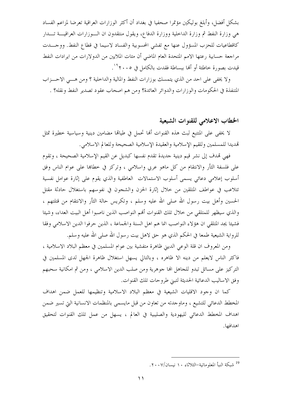بشكل أفضل، وأبلغ بوليكين مؤتمرا صحفيا في بغداد أن أكثر الوزارات العراقية تعرضا لمزاعم الفساد هي وزارة النفط ثم وزارة الداخلية ووزارة الدفاع، ويقول منتقدون ان الــوزارات العراقيـــة تـــدار كاقطاعيات للحزب المسؤول عنها مع تفشي المحسوبية والفساد لاسيما في قطاع النفط. ووجـــدت مراجعة حسابية رعتها الامم المتحدة العام الماضي أن مئات الملايين من الدولارات من ايرادات النفط قيدت بصورة حاطئة أو ألها ببساطة فقدت بالكامل في ٢٠٠٥° .

ولا يخفى على احد من الذي يتمسك بوزارات النفط والمالية والداخلية ؟ ومن هـــي الاحـــزاب المتنفذة في الحكومات والوزارات والدوائر العائدة؟ ومن هم اصحاب عقود تصدير النفط ونقله؟ .

## الخطاب الاعلامي للقنوات الشيعية

لا يخفى على المتتبع لبث هذه القنوات ألها تحمل في طيالها مضامين دينية وسياسية حطيرة تمثل تهديدا للمسلمين وللقيم الإسلامية والعقيدة الإسلامية الصحيحة وللعالم الاسلامي.

فهي تمدف إلى نشر قيم دينية جديدة تقدم نفسها كبديل عن القيم الإسلامية الصحيحة ، وتقوم على فلسفة الثأر والانتقام من كل ماهو عربي واسلامي ، وتركز في خطاها على عوام الناس وفق أسلوب إعلامي دعائي يسمى أسلوب الاستمالات العاطفية والذي يقوم على إثارة عوامل نفسية تتلاعب في عواطف المتلقين من حلال إثارة الحزن والشجون في نفوسهم باستغلال حادثة مقتل الحسين وأهل بيت رسول الله صلى الله عليه وسلم ، وتكريس حالة الثأر والانتقام من قتلتهم ، والذي سيظهر للمتلقى من حلال تلك القنوات أفمم النواصب الذين ناصبوا أهل البيت العداء، وشيئا فشيئا يجد المتلقى ان هؤلاء النواصب انما هم اهل السنة والجماعة ، الذين حرفوا الدين الاسلامي وفقا للرواية الشيعية طمعا في الحكم الذي هو حق لاهل بيت رسول الله صلى الله عليه وسلم.

ومن المعروف أن قلة الوعي الديني ظاهرة متفشية بين عوام المسلمين في معظم البلاد الاسلامية ، فاكثر الناس لايعلم من دينه الا ظاهره ، وبالتالي يسهل استغلال ظاهرة الجهل لدى المسلمين في التركيز على مسائل تبدو للحاهل الها جوهرية ومن صلب الدين الاسلامي ، ومن ثم امكانية سحبهم وفق الاساليب الدعائية الحديثة لتبني طروحات تلك القنوات.

كما ان وجود الاقليات الشيعية في معظم البلاد الاسلامية وتنظيمها للعمل ضمن اهداف المخطط الدعائي للتشيع ، وماوجدته من تعاون من قبل مايسمي بالمنظمات الانسانية التي تسير ضمن اهداف المخطط الدعائي لليهودية والصليبية في العالم ، يسهل من عمل تلك القنوات لتحقيق اهدافها.

<sup>&</sup>lt;sup>19</sup> شبكة النبأ المعلوماتية–الثلاثاء ١٠ نيسان/٢٠٠٧.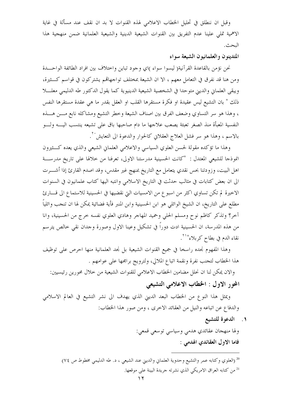وقبل ان ننطلق في تحليل الخطاب الاعلامي لهذه القنوات لا بد ان نقف عند مسألة في غاية الاهمية تملى علينا عدم التفريق بين القنوات الشيعية الدينية والشيعية العلمانية ضمن منهجية هذا البحث.

## المتدينون والعلمانيون الشيعة سواء

نحن نؤمن بالقاعدة القرآنية( ليسوا سواء )اي وجود تباين واختلاف بين افراد الطائفة الواحــدة ومن هنا قد نفرق في التعامل معهم ، الا ان الشيعة بمختلف تواجهاتمم يشتركون في قواسم كــثيرة، ويبقى العلماني والديني متوحدا في الشخصية الشيعية الدينيوية كما يقول الدكتور طه الدليمي معلسلا ذلك " بان التشيع ليس عقيدة او فكرة مستقرها القلب او العقل بقدر ما هي عقدة مستقرها النفس ، وهذا هو سر التساوي وضعف الفرق بين اصناف الشيعة وخطر التشيع ومشاكله نابع مـــن هــــذه النفسية المعبأة منذ الصغر تعبئة يصعب علاجها ما دام صاحبها باق على تشيعه ينتسب اليــــه ولــــو بالاسم ، وهذا هو سر فشل العلاج العقلاني كالحوار والدعوة الى التعايش ُ ' .

وهذا ما تؤكده مقولة لحسن العلوي السياسي والاعلامي العلماني الشيعي والذي يعده كــثيرون انموذجا للشيعي المعتدل : "كانت الحسينية مدرستنا الاولى، تعرفنا من خلالها على تاريخ مدرســة اهل البيت، وزودتنا بحس نقدي يتعامل مع التاريخ بمنهج غير مقدس، وقد اصدم القارئ إذا أشــــرت الى ان بعض كتابات في مثالب حدثت في التاريخ الاسلامي وانتبه اليها كتاب علمانيون في السنوات الاخيرة لم تكن تساوي اكثر من اسبوع من الامسيات التي نقضيها في الحسينية للاستماع الى قــــارئ مطلع على التاريخ، ان الشيخ الوائلي هو ابن الحسينية وابن المنبر فأية فضائية يمكن لها ان تنجب وائلياً آخر؟ وتذكر كاظم نوح ومسلم الحلبي وحميد المهاجر وهادي العلوي نفسه حرج من الحسينية، وانا من هذه المدرسة، ان الحسينية ادت دوراً في تشكيل وعينا الاول وصورة وحدان نقى حالص يترسم نقاء الدم في بطاح كربلاء"``.

وهذا المفهوم نجده راسخا في جميع القنوات الشيعية بل نجد العلمانية منها احرص على توظيف هذا الخطاب لتحنب نفرة ونقمة اتباع الملالي، ولترويج برامجها على عوامهم .

والان يمكن لنا ان نحلل مضامين الخطاب الاعلامي للقنوات الشيعية من خلال محورين رئيسيين:

المحور الاول : الخطاب الاعلامي التشيعي

ويمثل هذا النوع من الخطاب البعد الديني الذي يهدف الى نشر التشيع في العالم الاسلامي والدفاع عن اتباعه والنيل من العقائد الاحرى ، ومن صور هذا الخطاب:

١. الدعوة للتشيع

ولها منهجان عقائدي هدمي وسياسي توسعي قمعي: فاما الاول العقائدي الهدمي :

<sup>20</sup> (العلوي وكتابه عمر والتشيع وحدوية العلماني والديني عند الشيعي ، د. طه الدليمي مخطوط ص ٧٤) <sup>21</sup> من كتابه العراق الامريكي الذي نشرته جريدة البينة على موقعها.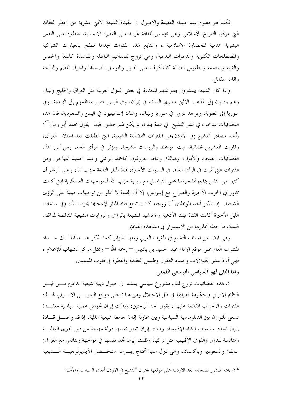فكما هو معلوم عند علماء العقيدة والاصول ان عقيدة الشيعة الاثني عشرية من اخطر العقائد التي عرفها التاريخ الاسلامي وهي تؤسس لثقافة غريبة على الفطرة الانسانية، خطيرة على النفس البشرية هدمية للحضارة الاسلامية ، والمتابع لهذه القنوات يجدها تطفح بالعبارات الشركية والمصطلحات الكفرية والدعوات البدعية، وهي تروج للمفاهيم الباطلة والفاسدة كالمتعة والخمس والغيبة والعصمة والطقوس الضالة كالعكوف على القبور والتوسل باصحاها واحراء اللطم والنياحة واقامة المقاتل.

واذا كان الشيعة ينتشرون بطوائفهم المتعددة في بعض الدول العربية مثل العراق والخليج ولبنان وهم ينتمون إلى المذهب الاثني عشري السائد في إيران، وفي اليمن ينتمي معظمهم إلى الزيدية، وفي سوريا إلى العلوية، ويوحد دروز في سوريا ولبنان، وهناك إسماعيليون في اليمن والسعودية، فان هذه الفضائيات ساهمت في نشر التشيع في عدة بلدان لم يكن لهم حضور فيها يقول محمد أبو رمان<sup>٢٢</sup>: (أحد مصادر التشيع (في الاردن)هي القنوات الفضائية الشيعية، التي انطلقت بعد احتلال العراق، وقاربت العشرين فضائية، تبث المواعظ والروايات الشيعية، وتؤثر في الرأي العام. ومن أبرز هذه الفضائيات الفيحاء والأنوار، وهنالك وعاظ معروفون كاحمد الوائلي وعبد الحميد المهاجر. ومن القنوات التيّ أثرت في الرأي العام، في السنوات الأخيرة، قناة المنار التابعة لحزب الله، وعلى الرغم أن كثيرا من الناس يتابعونها حرصا على التواصل مع رواية حزب الله للمواجهات العسكرية التي كانت تدور في الحرب الأخيرة والصراع مع إسرائيل، إلا أن القناة لا تخلو من توجهات مبنية على الرؤى الشيعية. ۖ إذ يذكر أحد المواطنين أن زوجته كانت تتابع قناة المنار لإعجاها بحزب الله، وفي ساعات الليل الأحيرة كانت القناة تبث الأدعية والاناشيد المشبعة بالرؤى والروايات الشيعية المناقضة لمواقف السنة، ما جعله يحذرها من الاستمرار في مشاهدة القناة).

وهي ايضا من اسباب التشيع في المغرب العربي ومنها الجزائر كما يذكر عبـــد المالــــك حــــداد المشرف العام على موقع الإمام عبد الحميد بن باديس — رحمه الله — وممثل مركز الشهاب للإعلام ، فهي أداة لنشر الضلالات وافساد العقول وطمس العقيدة والفطرة في قلوب المسلمين. واما الثاني فهو السياسي التوسعي القمعي

ان هذه الفضائيات تروج لبناء مشروع سياسي يستند الى اصول دينية شيعية مدعوم مسن قبسل النظام الايراني والحكومة العراقية في ظل الاحتلال ومن هنا تتجلى دوافع التمويـــل الايــــراني لهــــذه القنوات والاحزاب القائمة عليها ، يقول احد الباحثين: وبدأت إيران تخوض عملية سياسية معقـــدة تسعى للتوازن بين الدبلوماسية السياسية وبين محاولة إقامة حامعة شيعية عالمية، إذ قد واصــــل قــــادة إيران الجدد سياسات الشاه الإقليمية، وظلت إيران تعتبر نفسها دولة مهددة من قبل القوى العالميـــة ومنافسة للدول والقوى الإقليمية مثل تركيا، وظلت إيران تجد نفسها في مواجهة وتنافس مع العراق( سابقا) والسعودية وباكستان، وهي دول سنية تحتاج إيـــران استحـــضار الأيديولوجيـــة الـــشيعية

<sup>&</sup>lt;sup>22</sup> في بحثه المنشور بصحيفة الغد الاردنية على موقعها بعنوان "التشيع في الاردن أبعاده السياسية والأمنية"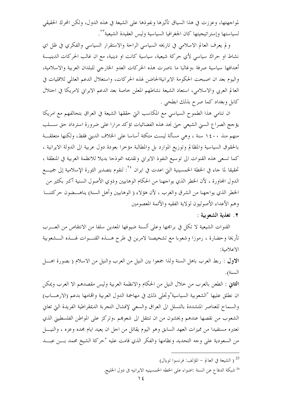لمواجهتها، وعززت في هذا السياق تأثيرها ونفوذها على الشيعة في هذه الدول، ولكن المحرك الحقيقي لسياستها وإستراتيجيتها كان الجغرافيا السياسية وليس العقيدة الشيعية للمستجم

و لم يعرف العالم الاسلامي في تاريخه السياسي الراحة والاستقرار السياسي والفكري في ظل اي نشاط او حراك سياسي لأي حركة شيعية، سياسية كانت او دينية، مع ان غالب الحركات الدينيـــة أهدافها سياسية صرفة ،وغالبا ما ناصرت هذه الحركات العدو الخارجي للبلدان العربية والاسلامية، واليوم بعد ان اصبحت الحكومة الايرانيةالحاضن لهذه الحركات، واستغلال الدعم العالمي للاقليات في العالم العربي والاسلامي، استعاد الشيعة نشاطهم المعلن خاصة بعد الدعم الايراني لامريكا في احتلال كابل وبغداد كما صرح بذلك ابطحي .

ان تنامي هذا الطموح السياسي مع المكاسب التي حققها الشيعة في العراق بتحالفهم مع امريكا يؤحج الصراع السني الشيعي حتى نجد هذه الفضائيات تؤكد مرارا على ضرورة استرداد حق ســـلب منهم منذ ١٤٠٠ سنة ، وهي مسألة ليست متكئة أساسا على الخلاف الديني فقط، ولكنها متعلقـــة بالحقوق السياسية والمظالم وتوزيع الموارد بل والمطالبة مؤخرا بعودة دول عربية الى الدولة الايرانية ، كما تسعى هذه القنوات الى توسيع النفوذ الايراني وتقديمه انموذجا بديلا للانظمة العربية في المنطقة ، تحقيقا لما جاء في الخطة الخمسينية التي اعدت في ايران <sup>٢٤</sup>: لنقوم بتصدير الثورة الإسلامية إلى جميــــع الدول المحاورة ، لأن الخطر الذي يواجهنا من الحكام الوهابيين وذوي الأصول السنية أكبر بكثير من الخطر الذي يواجهنا من الشرق والغرب ، لأن هؤلاء ( الوهابيين وأهل السنة) يناهـــضون حركتنــــا وهم الأعداء الأصوليون لولاية الفقيه والأئمة المعصومين

٢. تغذية الشعوبية :

القنوات الشيعية لا تكلَّ في برامجها وعلى ألسنة ضيوفها المعدين سلفا من الانتقاص من العـــرب تأريخا وحضارة ، رموزا وشعوبا مع تشخيصنا لامرين في طرح هــــذه القنــــوات لهــــذه الــــشعوبية الاعلامية:

الاول : ربط العرب باهل السنة ولذا جمعوا بين النيل من العرب والنيل من الاسلام ( بصورة اهـــل السنة).

الثاني : الطعن بالعرب من حلال النيل من الحكام والانظمة العربية وليس مقصدهم الا العرب ويمكن ان نطلق عليها "الشعوبية السياسية"وتحلَّى ذلك في مهاجمة الدول العربية والهامها بدعم (الارهــــاب) والسماح للعناصر المتشددة بالتسلل الى العراق والسعى لإفشال التجربة الديمقراطية الفريدة التي تعاني الشعوب من نقصها عندهم ويخشون من ان تنتقل الى شعوبهم ،وتركز على المواطن الفلسطيني الذي تعتبره مستفيدا من مميزات العهد السابق وهو اليوم يقاتل من اجل ان يعيد ايام مجده وعزه ، والنيــــل من السعودية على وجه التحديد ونظامها والفكر الذي قامت عليه "حركة الشيخ محمد بـــن عبـــد

- <sup>23</sup> ( الشيعة في العالم المؤلف: فرنسوا تويال)
- <sup>24</sup> شبكة الدفاع عن السنة :اضواء على الخطه الخمسينيه الايرانيه في دول الخليج.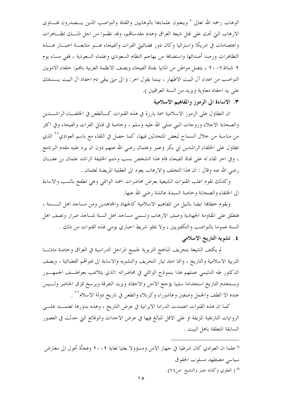الوهاب رحمه الله تعالى " وينعتون علماءها بالوهابيين والقتلة والنواصب الذين يـــصدرون فتــــاوى الارهاب التي تحتْ على قتل شيعة العراق وهدم مقدسالهم، وقد نظموا من احل ذلـــك تظـــاهرات واعتصامات في امريكا واستراليا وكان دور فضائييتي الفرات والفيحاء هـــو متابعـــة اخبـــار هــــذه التظاهرات ورصد أصدائها واستضافة من يهاجم النظام السعودي وعلماء السعودية ، ففي مساء يوم ٩ شباط٧ ٢٠٠٧ ، يتصل مواطن من المانيا بقناة الفيحاء ويصف الانظمة العربية بالهم: خلفاء الامويين النواصب من اعداء آل البيت الاطهار ، بينما يقول اخر: ( الى متى يبقى دم احفاد ال البيت يــــسفك على يد احفاد معاوية ويزيد من السنة العراقيين ).

## ٣. الاساءة الى الرموز والمفاهيم الاسلامية

ان التطاول على الرموز الاسلامية سمة بارزة في هذه القنوات كـــالطعن في الخلفـــاء الراشــــدين والصحابة الاحلاء وزوحات النبى صلى الله عليه وسلم ، وخاصة في قناتي الفرات والفيحاء وفي اكثر من مناسبة من خلال السماح لبعض المتحدثين فيها، كما حصل في اللقاء مع باسم العوادي<sup>٢٥</sup> الذي تطاول على الخلفاء الراشدين ابي بكر وعمر وعثمان رضي الله عنهم دون ان يرد عليه مقدم البرنامج ، وفي اخر لقاء له على قناة الفيحاء قام هذا الشخص بسب وشتم الخليفة الراشد عثمان بن عفـــان رضي الله عنه وقال : ان هذا التخلف والارهاب يعود الى العقلية المريضة لعثمان .

وكذلك تقوم اغلب القنوات الشيعية بعرض محاضرات احمد الوائلي وهي تطفح بالسب والاساءة الى الخلفاء والصحابة وخاصة السيدة عائشة رضى الله عنها.

ويقوم خطاها ايضا بالنيل من المفاهيم الاسلامية كالجهاد والمحاهدين ومن مساحد اهل السسنة ، فتطلق على المقاومة الجهادية وصف الارهاب وتسمي مساحد اهل السنة بمساحد ضرار وتصف اهل السنة عموما بالنواصب والتكفيريين ، ولا يخلو شريط احباري يومي لهذه القنوات من ذلك . ٤. تشويه التاريخ الاسلامي

لم يكتف الشيعة بتحريف المناهج التربوية لجميع المراحل الدراسية في العراق وخاصة مادتـــا التربية الاسلامية والتاريخ ، وانما امتد تيار التحريف والتشويه والاساءة الى قنوالهم الفضائية ، ويصف الدكتور طه الدليمي عملهم هذا بنموذج الوائلي في محاضراته :الذي يتلاعب بعواطــف الجمهـــور ويستخدم التاريخ استخداما سلبيا يؤجج الاحن والاحقاد ويزيد التفرقة ويرسخ تمزق الحاضر ولسيس عنده الا الطف والجمل وصفين وعاشوراء وكربلاء والطعن في تاريخ دولة الاسلام\*`` .

كما ان هذه القنوات اعتمدت الدراما الايرانية في عرض التاريخ ، وهذه بدورها تعتمــد علـــي الروايات التاريخية المزيفة او على الاقل المبالغ فيها في عرض الاحداث والوقائع التي حدثت في العصور السابقة المتعلقة باهل البيت .

<sup>25</sup>علما ان العوادي كان شرطيا في جهاز الامن ومسؤولا بعثيا لغاية ٢٠٠٢ وفجأة تحول الى معارض سياسي مضطهد مسلوب الحقوق <sup>26</sup> ( العلوي وكتابه عمر والتشيع ص٧٤).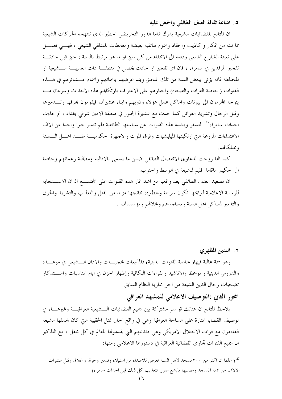## ٥. اشاعة ثقافة العنف الطائفي والحض عليه

ان المتابع للفضائيات الشيعية يدرك تماما الدور التحريضي الخطير الذي تنتهجه الحركات الشيعية يما تبثه من افكار واكاذيب واحقاد وسموم طائفية بغيضة ومغالطات للمتلقى الشيعي ، فهـــي تعمــــل على تعبئة الشارع الشيعي ودفعه الى الانتقام من كل سبي او ما هو مرتبط بالسنة ، حتى قبل حادثـــة تفحير المرقدين في سامراء ، فان اي تفحير او حادث يحصل في منطقـــة ذات الغالبيــــة الــــشيعية او المختلطة فانه يؤتى ببعض السنة من تلك المناطق ويتم عرضهم باسمائهم وإسماء عـــشائرهم في هـــذه القنوات ( خاصة الفرات والفيحاء) واجبارهم على الاعتراف بارتكاهم هذه الاحداث وسرعان مسا يتوجه المحرمون الى بيوتات واماكن عمل هؤلاء وذويهم وابناء عشيرقمم فيقومون بحرقها وتسدميرها وقتل الرحال وتشريد العوائل كما حدث مع عشيرة الجبور في منطقة الامين شرقي بغداد ، ثم حاءت احداث سامراء بالمسلم وبشدة هذه القنوات عن سياستها الطائفية فلم تنشر حبرا واحدا عن الاف الاعتداءات المروعة التي ارتكبتها الميليشيات وفرق الموت والاجهزة الحكوميـــة ضـــد اهـــل الـــسنة وممتلكاتهم.

كما الها روحت لدعاوى الانفصال الطائفي ضمن ما يسمى بالاقاليم ومطالبة زعمائهم وخاصة ال الحكيم باقامة اقليم للشيعة في الوسط والجنوب.

ان تصعيد العنف الطائفي يعد واقعيا من اشد اثار هذه القنوات على المحتمــــع اذ ان الاســـتجابة للرسالة الاعلامية لبرامجها تكون سريعة وخطيرة، نتائجها مزيد من القتل والتعذيب والتشريد والحرق والتدمير لمساكن اهل السنة ومساجدهم ومحلاقمم ومؤسساقم .

٦. التدين المظهري

وهو سمة غالبة فيها( حاصة القنوات الدينية) فالمذيعات محجبـــات والاذان الـــشيعي في موعــــده والدروس الدينية والمواعظ والاناشيد والقراءات البكائية وإظهار الحزن في ايام المناسبات واســـتذكار تضحيات رجال الدين الشيعة من اجل محاربة النظام السابق .

## المحور الثاني :التوصيف الاعلامي للمشهد العراقي

يلاحظ المتابع ان هنالك قواسم مشتركة بين جميع الفضائيات الـــشيعية العراقيــــة وغيرهــــا، في توصيف القضايا المثارة على الساحة العراقية وهي في واقع الحال تمثل الحقيبة التي كان يحملها الشيعة القادمون مع قوات الاحتلال الامريكي وهي دندنتهم التي يقدموها للعالم في كل محفل ، مع التذكير ان جميع القنوات تجاري الفضائية العراقية في دستورها الاعلامي ومنها:

<sup>27</sup> ( علما ان اكثر من ٢٠٠مسجد لاهل السنة تعرض للاعتداء من استيلاء وتدمير وحرق واغلاق وقتل عشرات الالاف من ائمة المساحد ومصليها بابشع صور التعذيب كل ذلك قبل احداث سامراء)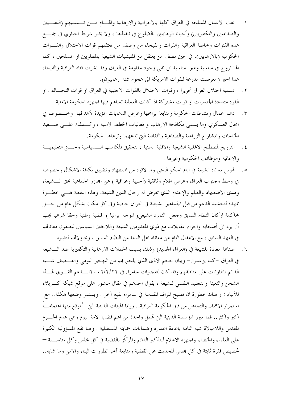- ١. نعت الاعمال المسلحة في العراق كلها بالاجرامية والارهابية واقمـــام مــــن تـــسميهم (البعثــــيين والصداميين والتكفيريين) وأحيانا الوهابيين بالضلوع في تنفيذها ، ولا يخلو شريط احباري في جميــــع هذه القنوات وخاصة العراقية والفرات والفيحاء من وصف من تعتقلهم قوات الاحتلال والقسوات الحكومية (بالارهابين)، في حين تصف من يعتقل من المليشيات الشيعية بالمطلوبين او المسلحين ، كما الها تروج في مناسبة وغير ً مناسبة الى نفي وجود مقاومة في العراق وقد نشرت قناة العراقية والفيحاء هذا الخبر ( تعرضت مدرعة للقوات الامريكة الى هجوم شنه ارهابيون).
- ٢ . تسمية احتلال العراق تحريرا ، وقوات الاحتلال بالقوات الاجنبية في العراق او قوات التحـــالف او القوة متعددة الجنسيات او قوات مشتركة اذا كانت العملية تساهم فيها اجهزة الحكومة الامنية.
- دعم اعمال ونشاطات الحكومة ومتابعة برامجها وعرض الدعايات المؤيدة لأهدافها وحسصوصا في  $\cdot$   $\mathsf{r}$ المحال العسكري وما يسمى مكافحة الارهاب و فعاليات الخطط الامنية ، وكـــذلك علــــى صــــعيد الخدمات والمشاريع الزراعية والصناعية والثقافية التي تدعهما وترعاها الحكومة.
- ٤. الترويج لمصطلح الاغلبية الشيعية والاقلية السنية ، لتحقيق المكاسب الـــسياسية وحــــتي التعليميــــة والاغاثية والوظائف الحكومية وغيرها .
- ٥. قمويل معاناة الشيعة في ايام الحكم البعثي وما لاقوه من اضطهاد وتضييق بكافة الاشكال وخصوصا في وسط وجنوب العراق وعرض افلام وثائقية (أجنبية وعراقية ) عن المحازر الجماعية بحق الـــشيعة، ومدى الاضطهاد والظلم والإعدام الذي تعرض له رحال الدين الشيعة، وهذه النقطة هـــي خطـــوة ممهدة لتحشيد الدعم من قبل الجماهير الشيعية في العراق حاصة وفي كل مكان بشكل عام من احــــل محاكمة اركان النظام السابق وجعل التمرد الشيعي( الموجه ايرانيا ) قضية وطنية وحقا شرعيا يجب أن يرد الى أصحابه واحراء المقابلات مع ذوي المعدومين الشيعة واللاحئين السياسين ليصفون معاناقمم في العهد السابق ، مع الاغفال التام عن معاناة اهل السنة من النظام السابق ، ومحاوٍ لاقمم لتغييره.
- ٦. صناعة معاناة للشيعة في (العراق الجديد) وذلك بسبب الحملات الارهابية والتكفيرية ضد الـــشيعة في العراق –كما يزعمون– وبيان حجم الاذي الذي يلحق هم من التهجير اليومي والقـــصف شـــبه الدائم بالهاونات على مناطقهم وقد كان لتفجيرات سامراء في ٢١/٢/٢ ٢٠٠لـــدعم القــــوي لهــــذا الشحن والتعبئة والتجنيد النفسي للشيعة ، يقول احدهم في مقال منشور على موقع شبكة كـــربلاء للأنباء : ( هناك خطورة ان تصبح المراقد المقدسة في سامراء بقيع آخر.. ويستمر وضعها هكذا.. مع استمرار الاهمال والتجاهل من قبل الحكومة العراقية.. وربما الهيئات الدينية التي يُتوقع منها اهتمامــــاً اكبر واكثر.. فما مبرر المؤسسة الدينية التي تممل واحدة من اهم قضايا الامة اليوم وهي هدم الحسرم المقدس واللامبالاة شبه التامة باعادة اعماره وضمانات حمايته المستقبلية.. وهنا تقع المسؤولية الكبيرة على العلماء والخطباء واجهزة الاعلام للتذكير الدائم والمركّز بالقضية في كل مجلس وكل مناســـبة — تخصيص فقرة ثابتة في كل مجلس للحديث عن القضية ومتابعة آخر تطورات البناء والامن وما شابه..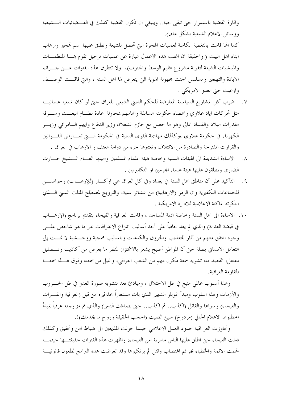واثارة القضية باستمرار حتى تبقى حية.. وينبغي ان تكون القضية كذلك في الفـــضائيات الـــشيعية ووسائل الاعلام الشيعية بشكل عام.).

كما الها قامت بالتغطية الكاملة لعمليات الهجرة التي تحصل للشيعة وتطلق عليها اسم تمجير وارهاب ابناء اهل البيت ( والحقيقة ان اغلب هذه الاعمال عبارة عن عمليات ترحيل تقوم بمـــا المنظمـــات والميلشيات الشيعة لتقوية مشروع اقليم الوسط والجنوب)، ولا تتطرق هذه القنوات عــــن حــــرائم الابادة والتهجير ومسلسل الجثث مجهولة الهوية التي يتعرض لها اهل السنة ، والتي فاقـــت الوصـــف وارعبت حيّ العدو الامريكي .

- ٧. ﴿ ضِرْبِ كُلِّ المشاريع السياسية المعارضة للحكم الديني الشيعي للعراق حتى لو كان شيعيا علمانيـــا مثل تحركات اياد علاوى واعضاء حكومته السابقة واقمامهم بمحاولة اعادة نظسام البعسث وسسرقة مقدرات البلاد والفساد المالي وهو ما حصل مع حازم الشعلان وزير الدفاع وايهم السامرائي وزيـــر الكهرباء في حكومة علاوي ،وكذلك مهاجمة القوى السنية في الحكومة الــــتي تعــــارض القــــوانين والقرارت المقترحة والصادرة من الائتلاف وتعتبرها جزء من دوامة العنف و الارهاب في العراق .
- ٨. الاساءة الشديدة الى الهيئات السنية وخاصة هيئة علماء المسلمين وامينها العسام الـــشيخ حــــارث الضاري ويطلقون عليها هيئة علماء المحرمين او التكفيريين .
- ٩. التأكيد على أن مناطق اهل السنة في بغداد وفي كل العراق هي اوكـــار (للإرهــــاب) وحواضــــن للجماعات التكفيرية وان الزمر (الارهابية) من عشائر سنية، والترويج لمصطلح المثلث السنى الــــذي ابتكرته الماكنة الاعلامية للادارة الامريكية .
- ١٠. الاساءة الى اهل السنة وخاصة ائمة المساجد ، وقامت العراقية والفيحاء بتقديم برنامج (الإرهـــاب في قبضة العدالة) والذي لم يعد خافياً على أحد أساليب انتزاع الاعترافات عبر ما هو شاخص علــــى وجوه المحقَّق معهم من آثار للتعذيب والحروق والكدمات وباساليب همجية ووحـــشية لا تمـــت إلى التعامل الانساني بصلة حتى أن المواطن أصبح يشعر بالاشمئزاز لمنظر ما يعرض من أكاذيب وتـــضليل مفتعل، القصد منه تشويه سمعة مكون مهم من الشعب العراقي، والنيل من سمعته وفوق هــــذا سمعــــة المقاومة العراقية.

وهذا أسلوب عالمي متبع في ظل الاحتلال ، ومبادئ تعد لتشويه صورة العدو في ظل الحــــروب والأزمات وهذا اسلوب ومبدأ غوبلز الشهير الذي بات مستعاراً بحذافيره من قبل (العراقية والفـــرات والفيحاء) وسواها والقائل (اكذب.. ثم اكذب.. حتى يصدقك الناس) والذي تم مزاوجته عرفياً بمبدأ اخطبوط الاعلام الحالي (مردوخ) سيئ الصيت (احجب الحقيقة وروج ما يخدمك)!.

وتحاوزت العر اقية حدود العمل الاعلامي حينما حولت المذيعين الى ضباط امن وتحقيق وكذلك فعلت الفيحاء حتى اطلق عليها الناس مديرية امن الفيحاء، واظهرت هذه القنوات حقيقتـــها حينمــــا اقممت الائمة والخطباء بجرائم اغتصاب وقتل لم يرتكبوها وقد تعرضت هذه البرامج لطعون قانونيـــة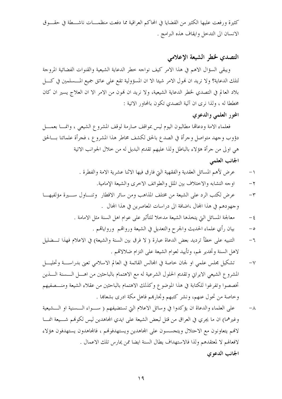كثيرة ورفعت عليها الكثير من القضايا في المحاكم العراقية مما دفعت منظمـــات ناشـــطة في حقــــوق الانسان الى التدحل وايقاف هذه البرامج .

## التصدي لخطر الشيعة الإعلامي

ويبقى السؤال الاهم في هذا الامر كيف نواجه حطر الدعاية الشيعية والقنوات الفضائية المروجة لتلك الدعاية؟ ولا نريد ان فمول الامر شيئا الا ان المسؤولية تقع على عاتق جميع المــــسلمين في كـــــل بلاد العالم في التصدي لخطر الدعاية الشيعية، ولا نريد ان نمون من الامر الا ان العلاج يسير ان كان مخططا له ، ولذا نرى ان آلية التصدي تكون بالمحاور الاتية :

## المحور العلمي والدعوي

فعلماء الامة ودعالها مطالبون اليوم ليس بمواقف صارمة لوقف المشروع الشيعي ، وانمسا بعمسل دؤوب وجهد متواصل وجرأة في الصدع بالحق لكشف مخاطر هذا المشروع ، فجرأة علمائنا بـــالحق هي اولى من جرأة هؤلاء بالباطل ولذا عليهم تقديم البديل له من حلال الجوانب الاتية الجانب العلمى

- عرض لأهم المسائل العقدية والفقهية التي فارق فيها الاثنا عشرية الامة والفطرة .  $\overline{\phantom{0}}$ 
	- اوجه التشابه والاختلاف بين الملل والطوائف الاخرى والشيعة الإمامية.  $-\tau$
- عرض لكتب الرد على الشيعة من مختلف المذاهب ومن سائر الاقطار وتنساول سسيرة مؤلفيهــا  $-\tau$ وجهودهم في هذا المجال ،اضافة الى دراسات المعاصرين في هذا المجال .
	- معالجة المسائل التي يتخذها الشيعة مدحلاً للتأثير على عوام اهل السنة مثل الامامة .  $-\xi$ 
		- بيان رأي علماء الحديث والجرح والتعديل في الشيعة ورواقمم ورواياقم .  $-\circ$
- التنبيه على خطأ ترديد بعض الدعاة عبارة ( لا فرق بين السنة والشيعة) في الاعلام فهذا تـــضليل  $-7$ لاهل السنة وتخدير لهم، وتأييد لعوام الشيعة على التزام ضلالاقم .
- تشكيل مجلس علمي او لجان حاصة في المجالس القائمة في العالم الاسلامي تعني بدراســة وتحليـــل  $-\sqrt{}$ المشروع الشيعي الايراني وتقديم الحلول الشرعية له مع الاهتمام بالباحثين من اهـــل الــــسنة الــــذين تخصصوا وتفرغوا للكتابة في هذا الموضوع وكذلك الاهتمام بالباحثين من عقلاء الشيعة ومنـــصفيهم وخاصة من تحول عنهم، ونشر كتبهم وتحارهم فاهل مكة ادرى بشعاها .
- على العلماء والدعاة ان يؤكدوا في وسائل الاعلام التي تستضيفهم ( ســواء الــسنية او الـــشيعية  $-\lambda$ وغيرهما) ان ما يجري في العراق من قتل لبعض الشيعة على ايدي المحاهدين ليس لكوفمم شـــيعة انمـــا لالهم يتعاونون مع الاحتلال ويتجسسون على المجاهدين ويستهدفوهُم ، فالمجاهدون يستهدفون هؤلاء لافعالهم لا لمعتقدهم ولذا فالاستهداف يطال السنة ايضا ممن يمارس تلك الاعمال . الجانب الدعوى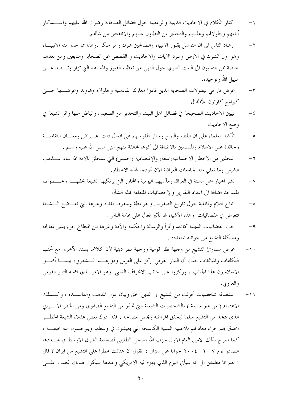- اكثار الكلام في الاحاديث الدينية والوعظية حول فضائل الصحابة رضوان الله عليهم واســـتذكار  $\overline{\phantom{0}}$ أيامهم وبطولاقمم وعلمهم والتحذير من التطاول عليهم والانتقاص من شأفمم.
- ارشاد الناس الى ان التوسل بقبور الانبياء والصالحين شرك وامر منكر ،وهذا مما حذر منه الانبيــاء  $-\tau$ وهو اول الشرك في الارض وسرد الايات والاحاديث و القصص عن الصحابة والتابعين ومن بعدهم خاصة ممن ينتسبون الى البيت العلوي حول النهي عن تعظيم القبور والمشاهد التي تزار وتـــصد عــــن سبيل الله وتوحيده.
- عرض تاريخي لبطولات الصحابة الذين قادوا معارك القادسية وحلولاء وفماوند وعرضها حسيتي  $-\tau$ كبرامج كارتون للأطفال .
- تبيين الاحاديث الصحيحة في فضائل اهل البيت والتحذير من الضعيف والباطل منها واثر الشيعة في  $-\xi$ وضع الاحاديث.
- تأكيد العلماء على ان اللطم والنوح وسائر طقوسهم هي افعال ذات اغـــراض ومعـــان انتقاميـــة  $-\circ$ وحاقدة على الاسلام والمسلمين بالاضافة الى كوهْا مخالفة لمنهج النبي صلى الله عليه وسلم .
- التحذير من الاخطار الاجتماعية(المتعة) والإقتصادية (الخمس) التي ستحلق بالامة اذا ساد المسذهب  $-7$ الشيعي وما تعاين منه الجامعات العراقية الان نموذجا لهذه الاخطار.
- نشر احبار اهل السنة في العراق ومآسيهم اليومية والمحازر التي يرتكبها الشيعة بحقهـــم وخـــصوصا  $-\sqrt{}$ المساجد اضافة الى اعداد التقارير والإحصائيات المتعلقة بمذا الشأن .
- انتاج افلام وثائقية حول تاريخ الصفويين والقرامطة وسقوط بغداد وغيرها التي تفسضح السشيعة  $-\lambda$ لتعرض في الفضائيات وهذه الأشياء لها تأثير فعال على عامة الناس .
- حث الفضائيات الدينية كالمحد وأقرأ والرسالة والحكمة والأمة وغيرها من اقتطاع جزء يسير لمعالجة  $-9$ ومشكلة التشيع من جوانبه المتعددة .
- عرض مساوئ التشيع من وجهة نظر قومية ووجهة نظر دينية لأن كلاهما يسند الآخر، ًمع تجنب  $- \wedge$ التكلفات والمبالغات حيث أن التيار القومي ركز على الفرس ودورهـــم الـــشعوبي، بينمــــا أهمــــل الاسلاميون هذا الجانب ، وركزوا على جانب الانحراف الديني وهو الامر الذي اهمله التيار القومي و العرو پي .
- استضافة شخصيات تحولت من التشيع الى الدين الحق وبيان عوار المذهب ومفاســـده ، وكـــذلك  $-11$ الاهتمام ( من غير مبالغة ) بالشخصيات الشيعية التي تحذر من التشيع الصفوي ومن الخطر الايـــراني الذي يتخذ من التشيع سلما ليحقق اغراضه ويحمى مصالحه ، فقد ادرك بعض عقلاء الشيعة الخطـــر المحدق بمم جراء معادالهم للاغلبية السنية الكاسحة التي يعيشون في وسطها ويتوجسون منه حيفــة ، كما صرح بذلك الامين العام الاول لحزب الله صبحى الطفيلي لصحيفة الشرق الاوسط في عــــددها الصادر يوم ٧ –٢- ٢٠٠٤ جوابا عن سؤال : اتقول ان هنالك خطرا على التشيع من ايران ؟ قال : نعم انا مطمئن الى انه سيأتي اليوم الذي يهزم فيه الامريكي وعندها سيكون هنالك غضب علـــي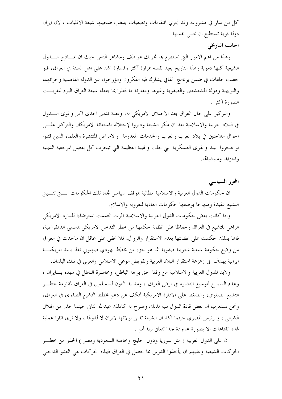كلِّ من سارٍ في مشروعه وقد تجري انتقامات وتصفيات يذهب ضحيتها شيعة الاقليات ، لان ايران دولة قوية تستطيع ان تحمي نفسها .

## الجانب التاريخي

وهذا من اهم الامور التي نستطيع بما تحريك عواطف ومشاعر الناس حيث ان نمـــاذج الــــدول الشيعية كلها دموية وهذا التاريخ يعيد نفسه بمرارة أكثر وقساوة اشد على اهل السنة في العراق، فلو جعلت حلقات في ضمن برنامج ثقافي يشارك فيه مفكرون ومؤرخون عن الدولة الفاطمية وجرائهما والبويهية ودولة المشعشعين والصفوية وغيرها ومقارنة ما فعلوا بما يفعله شيعة العراق اليوم لتقربـــت الصورة اكثر .

والتركيز على حال العراق بعد الاحتلال الامريكي له، وقصة تدمير احدى اكبر واقوى السدول في البلاد العربية والاسلامية بعد ان مكر الشيعة ودبروا لإحتلاله باستعانة الامريكان والتركيز علــــى احوال اللاحثين في بلاد العرب والغرب والخدمات المعدومة والامراض المنتشرة والعلماء الذين قتلوا او هجروا البلد والقوى العسكرية التي حلت والهيبة العظيمة التي تبخرت كل بفضل المرجعية الدينية واحزاها ومليشياقما.

المحور السياسي

ان حكومات الدول العربية والاسلامية مطالبة بموقف سياسي تجاه تلك الحكومات الستي تتسبني التشيع عقيدة ومنهاجا بوصفها حكومات معادية للعروبة والاسلام.

واذا كانت بعض حكومات الدول العربية والاسلامية آثرت الصمت استرضاءا للمارد الامريكي الراعي للتشيع في العراق وحفاظا على انظمة حكمها من خطر التدحل الامريكي بمسمى الديمقراطية، فالها بذلك حكمت على انظمتها بعدم الاستقرار والزوال، فلا يخفى على عاقل ان ماحدث في العراق من وضع حكومة شيعية شعوبية صفوية انما هو حزء من مخطط يهودي صهيوني نفذ باييد امريكيـــة ايرانية يهدف الى زعزعة استقرار البلاد العربية وتقويض الوعى الاسلامي والعربي في تلك البلدان.

ولابد للدول العربية والاسلامية من وقفة حق بوجه الباطل، ومحاصرة الباطل في مهده بسايران ، وعدم السماح لتوسيع انتشاره في ارض العراق ، ومد يد العون للمسلمين في العراق لمقارعة خطـــر التشيع الصفوي، والضغط على الادارة الامريكية لتكف عن دعم مخطط التشيع الصفوي في العراق، ونحن نستغرب ان بعض قادة الدول تنبه لذلك وصرح به كالملك عبدالله الثاني حينما حذر من الهلال الشيعي ، والرئيس المصري حينما اكد ان الشيعة تدين بولائها لايران لا لدولها ، ولا نرى اثارا عملية لهذه القناعات الا بصورة محدودة حدا تتعلق ببلدالهم .

ان على الدول العربية ( مثل سوريا ودول الخليج وخاصة السعودية ومصر ) الحذر من خطـــر الحركات الشيعية وعليهم ان يأخذوا الدرس مما حصل في العراق فهذه الحركات هي العدو الداخلي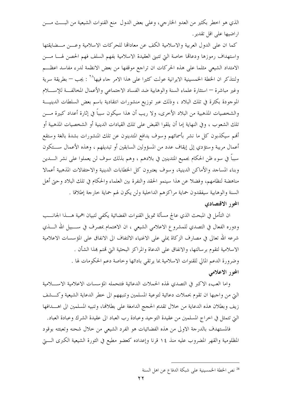الذي هو اخطر بكثير من العدو الخارجي، وعلى بعض الدول ً منع القنوات الشيعية من البـــث مـــن اراضيها على اقل تقدير .

كما ان على الدول العربية والاسلامية الكف عن معادالها للحركات الاسلامية وعـــن مـــضايقتها واستهداف رموزها ودعاقما حاصة التي تتبنى العقيدة الاسلامية بفهم السلف فهم الحصن لهسا مسن الامتداد الشيعي مثلما على هذه الحركات ان تراجع موقفها من بعض الانظمة لدرء مفاسد اعظـــم ولنتذكر ان الخطة الخمسينية الايرانية عولت كثيرا على هذا الامر جاء فيها^`` : يجب — بطريقة سرية وغير مباشرة — استثارة علماء السنة والوهابية ضد الفساد الاجتماعي والأعمال المخالفة للإسللام الموجودة بكثرة في تلك البلاد ، وذلك عبر توزيع منشورات انتقادية باسم بعض السلطات الدينيـــة والشخصيات المذهبية من البلاد الأحرى، ولا ريب أن هذا سيكون سبباً في إثارة أعداد كبيرة مــــن تلك الشعوب ، وفي النهاية إما أن يلقوا القبض على تلك القيادات الدينية أو الشخصيات المذهبية أو ألهم سيكذبون كل ما نشر بأسمائهم وسوف يدافع المتدينون عن تلك المنشورات بشدة بالغة وستقع أعمال مريبة وستؤدى إلى إيقاف عدد من المسؤولين السابقين أو تبديلهم ، وهذه الأعمال ســـتكون سبباً في سوءِ ظن الحكام بجميع المتدينين في بلادهم ، وهم بذلك سوف لن يعملوا على نشر الــــدين وبناء المساحد والأماكن الدينية، وسوف يعتبرون كل الخطابات الدينية والاحتفالات المذهبية أعمالا مناهضة لنظامهم، وفضلا عن هذا سينمو الحقد والنفرة بين العلماء والحكام في تلك البلاد وحتى أهل السنة والوهابية سيفقدون حماية مراكزهم الداخلية ولن يكون لهم حماية خارجة إطلاقا .

#### المحور الاقتصادي

ان التأمل في المبحث الذي عالج مسألة تمويل القنوات الفضائية يكفي لتبيان اهمية هــــذا الجحانــــب ودوره الفعال في التصدي للمشروع الاعلامي الشيعي ، ان الاهتمام بمصرف في ســــبيل الله الـــــذي شرعه الله تعالى في مصارف الزكاة يملى على الاغنياء الالتفاف الى الانفاق على المؤسسات الاعلامية الاسلامية لتقوم برسالتها، والانفاق على الدعاة والمراكز البحثية التي تمتم هذا الشأن . وضرورة الدعم المالي للقنوات الاسلامية بما يرتقى بادائها وخاصة دعم الحكومات لها . المحور الاعلامي

وإما العبء الاكبر في التصدي لهذه الحملات الدعائية فتتحمله المؤسسات الاعلامية الاســــلامية التي من واجبها ان تقوم بحملات دعائية لتوعية المسلمين وتنبههم الى خطر الدعاية الشيعية وكسشف زيف وبطلان هذه الدعاية من خلال تقديم الحجج الدامغة على بطلافما، وتنبيه المسلمين الى اهــــدافها التي تتمثل في اخراج المسلمين من عقيدة التوحيد وعبادة رب العباد الى عقيدة الشرك وعبادة العباد.

فالمستهدف بالدرجة الاولى من هذه الفضائيات هو الفرد الشيعي من خلال شحنه وتعبئته بوقود المظلومية والقهر المضروب عليه منذ ١٤ قرنا وإعداده كعضو مطيع في الثورة الشيعية الكبرى الــــتي

<sup>&</sup>lt;sup>28</sup> نص الخطة الخمسينية على شبكة الدفاع عن اهل السنة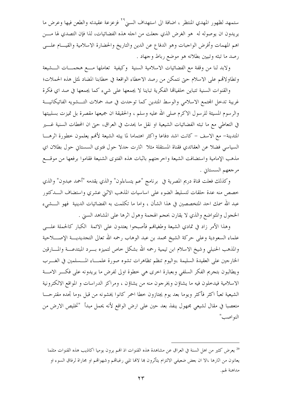ستمهد لظهور المهدي المنتظر ، اضافة الى استهداف السنى<sup>79</sup> فزعزعة عقيدته والطعن فيها وعرض ما يريدون ان يوصوله له هو الغرض الذي جعلت من اجله هذه الفضائيات، لذا فإن التصدي لها مــــن اهم المهمات وأفرض الواجبات وهو الدفاع عن الدين والتاريخ والحضارة الاسلامية والقيـــام علــــى رصد ما تبثه وتبيين بطلانه هو موضع رباط وجهاد .

ولابد لنا من وقفة مع الفضائيات الاسلامية السنية وكيفية تعاملها مسع هجمسات السشيعة وتطاولاتهم على الاسلام حتى نتمكن من رصد الاخطاء الواقعة في خطابنا المضاد لمثل هذه الحملات؛

والقنوات السنية تتباين خلفياقما الفكرية تباينا لا يجمعها على شيء كما يجمعها في صد اي فكرة غريبة تدخل المحتمع الاسلامي والوسط المتدين كما توحدت في صد حملات التـــشويه الفاتيكانيـــة والرسوم المسيئة للرسول الاكرم صلى الله عليه وسلم ، والحقيقة ان جميعها مقصرة بل تميزت بسلبيتها في التعاطي مع ما تبثه الفضائيات الشيعية او نقل ما يحدث في العراق، حيّ ان المحطات السنية غـــــــير المتدينة– مع الاسف – كانت اشد دفاعا واكثر اهتماما لما يبثه الشيعة لألهم يعلمون خطورة اثرهـــا السياسي فضلًا عن العقائدي فقناة المستقلة مثلًا أثارت جدلًا حول فتوى السستاني حول بطلان أي مذهب الإمامية واستضافت الشيعة واحرجتهم باثبات هذه الفتوى الشنيعة فقاموا برفعها من موقـــع مرجعهم السستاني .

وكذلك فعلت قناة دريم المصرية في برنامج "عم يتساءلون" والذي يقدمه "أحمد عبدون" والذي خصص منه عدة حلقات لتسليط الضوء على اساسيات المذهب الاثني عشري واستضاف الـــدكتور عبد الله سمك احد المتخصصين في هذا الشأن ، واما ما تكلمت به الفضائيات الدينية فهو الــــشيء الخجول والمتواضع والذي لا يقارن بحجم الهجمة وهول اثرها على المشاهد السبي .

وهذا الأمر زاد في تمادي الشيعة وطغيافمم فأصبحوا يعتدون على الائمة الكبار كالحملة علسى علماء السعودية وعلى حركة الشيخ محمد بن عبد الوهاب رحمه الله تعالى التجديديـــة الإصــــلاحية والمذهب الحنبلي وشيخ الاسلام ابن تيمية رحمه الله بشكل حاص لتميزه بسرد المبتدعسة والمسارقين الخارجين على العقيدة السليمة ،واليوم تنظم تظاهرات تشوه صورة علمـــاء المـــسلمين في الغــــرب ويطالبون بتجريم الفكر السلفى وبعبارة اخرى هي خطوة اولى لفرض ما يريدونه على فكسر الامسة الاسلامية فيدخلون فيه ما يشاؤن ويخرجون منه من يشاؤن ، ومراكز الدراسات و المواقع الالكترونية الشيعية تعبأ اكثر فأكثر ويوما بعد يوم يجتازون حطا احمر كانوا يخشونه من قبل ،وما تجده مقترحـــا متعصبا في مقال لشيعي مجهول ينفذ بعد حين على ارض الواقع لأنه يحمل مبدأ "تخليص الارض من النو اصب"

<sup>&</sup>lt;sup>29</sup> يعرض كثير من اهل السنة في العراق عن مشاهدة هذه القنوات اذ الهم يرون يوميا اكاذيب هذه القنوات مثلما يعانون من اثارها ،الا ان بعض ضعيفي الالتزام يتأثرون بما لالها تلبي رغباقمم وشهواقمم او مجاراة لرفاق السوء او مداهنة لهم.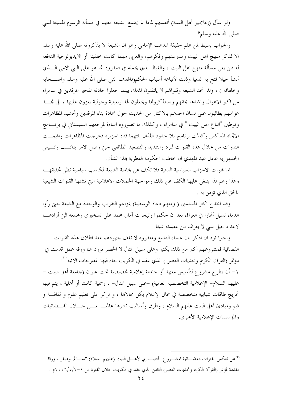ولو سأل (إعلاميو أهل السنة) أنفسهم لماذا لم يجتمع الشيعة معهم في مسألة الرسوم المسيئة للنبي صلى الله عليه وسلم؟

والجواب بسيط لمن علم حقيقة المذهب الإمامي وهو ان الشيعة لا يذكرونه صلى الله عليه وسلم الا لذكر منهج اهل البيت ومدرستهم وفكرهم، والغربي مهما كانت خلفيته أو الايديولوجية الدافعة له فلن يعي مسألة منهج اهل البيت ، والغيظ الذي يحمله في صدروه انما هو على النبي الامي الــــذي أنشأ حيلا فتح به الدنيا وذلت لأتباعه أسباب الحكم(فالهدف النبي صلى الله عليه وسلم واصـــحابه وخلفائه ) ، ولذا نجد الشيعة وقنوالهم لا يلتفتون لذلك بينما جعلوا حادثة تفجير المرقدين في سامراء من اكبر الاهوال واشدها بحقهم ويستذكروها ويجعلون لها اربعينية وحولية يعزون عليها ، بل نجسد عوامهم يطالبون على لسان احدهم بالاكثار من الحديث حول اعادة بناء المرقدين وتحشيد المظاهرات وتوطين "اتباع اهل البيت " في سامراء ، وكذلك ما تصوروه اساءة لمرجعهم السيستاني في برنــــامج الاتجاه المعاكس وكذلك برنامج بلا حدود اللذان بثتهما قناة الجزيرة فخرجت المظاهرات واقيمـــت الندوات من حلال هذه القنوات للرد والتنديد والتصعيد الطائفي حتى وصل الامر بنائـــب رئـــيس الجمهورية عادل عبد المهدى ان خاطب الحكومة القطرية بمذا الشأن.

اما قنوات الاحزاب السياسية السنية فلا تكف عن مجاملة الشيعة لمكاسب سياسية تظن تحقيقهـــا وهذا وهم لذا ينبغي عليها الكف عن ذلك ومواجهة الحملات الاعلامية التي تشنها القنوات الشيعية بالحق الذي تؤمن به .

وقد انخدع اكثر المسلمين ( ومنهم دعاة الوسطية) بمزاعم التقريب والوحدة مع الشيعة حتى رأوا الدماء تسيل ألهارا في العراق بعد ان حكموا وتبخرت آمال محمد على تسخيري ومجمعه التي أرادهــــا لاعداد جيل سبي لا يعرف من عقيدته شيئا.

واحيرا نود ان اذكر بان علماء التشيع ومنظروه لا تقف جهودهم عند اطلاق هذه القنوات الفضائية فمشروعهم اكبر من ذلك بكثير وعلى سبيل المثال لا الحصر نورد هنا ورقة عمل قدمت في مؤتمر (القرآن الكريم وتحديات العصر ) الذي عقد في الكويت جاء فيها المقترحات الاتية```: ١– أن يطرح مشروع لتأسيس معهد أو جامعة إعلامية تخصيصية تحت عنوان (جامعة أهل البيت – عليهم السلام– الإعلامية التخصصية العالمية) –على سبيل المثال– ، رسمية كانت أو أهلية ، يتم فيها تخريج طاقات شبابية متخصصة في مجال الإعلام بكل مجالاتما ، و تركز على تعليم علوم و ثقافـــة و قيم ومبادئ أهل البيت عليهم السلام ، وطرق وأساليب نشرها عالميـــا مــــن حــــلال الفـــضائيات والمؤسسات الإعلامية الأخرى.

<sup>30</sup> هل تعكس القنوات الفضـــائية المشـــروع الحضــــاري لأهــــل البيت (عليهم السلام) ؟ســــالم بوصفر ، ورقة مقدمة لمؤتمر (القرآن الكريم وتحديات العصر) الثامن الذي عقد في الكويت خلال الفترة من ١–٢/٥/٢ ٢٠٠م .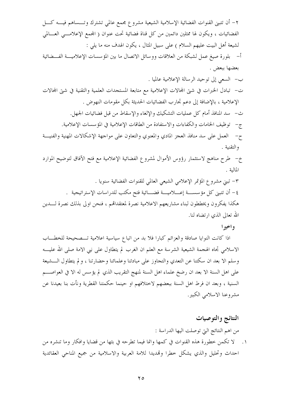٢– أن تتبنى القنوات الفضائية الإسلامية الشيعية مشروع مجمع عالمي تشترك وتـــساهم فيــــه كــــل الفضائيات ، ويكون لها ممثلين دائمين من كل قناة فضائية تحت عنوان ( المحمع الإعلامــــي العــــالمي لشيعة أهل البيت عليهم السلام ) على سبيل المثال ، يكون الهدف منه ما يلي : أ- بلورة صيغ عمل لشبكة من العلاقات ووسائل الاتصال ما بين المؤسسات الإعلاميـــة الفـــضائية بعضها ببعض . ب– السعى إلى توحيد الرسالة الإعلامية عالميا . ت– تبادل الخبرات في شتى المحالات الإعلامية مع متابعة المستحدات العلمية والتقنية في شتى المحالات الإعلامية ، بالإضافة إلى دعم تجارب الفضائيات الحديثة بكل مقومات النهوض . ث– سد المنافذ أمام كل عمليات التشكيك والإلغاء والإسقاط من قبل فضائيات الجهل. ج- توظيف الخامات والكفاءات والاستفادة من الطاقات الإعلامية في المؤسسات الإعلامية. ح– العمل على سد منافذ العجز المادي والمعنوي والتعاون على مواجهة الإشكالات المهنية والفنيسة والتقنية . خ– طرح مناهج لاستثمار رؤوس الأموال لمشروع الفضائية الإعلامية مع فتح الآفاق لتوضيح الموارد

المالية .

٣- تبني مشروع المؤتمر الإعلامي الشيعي العالمي للقنوات الفضائية سنويا . ٤– أن تتبنى كل مؤسســــة إعــــلاميــــة فضــــائية فتح مكتب للدراسات الإستراتيجية . هكذا يفكرون ويخططون لبناء مشاريعهم الاعلامية نصرة لمعتقدالهم ، فنحن اولى بذلك نصرة لــــدين الله تعالى الذي ا, تضاه لنا.

## واخيرا

اذا كانت النوايا صادقة والعزائم كبارا فلا بد من اتباع سياسية اعلامية تــصحيحة للخطـــاب الاسلامي تجاه الهجمة الشيعية الشرسة مع العلم ان الغرب لم يتطاول على نبي الامة صلى الله عليــــه وسلم الا بعد ان سكتنا عن التعدي والتجاوز على مبادئنا وعلمائنا وحضارتنا ، و لم يتطاول الــــشيعة على اهل السنة الا بعد ان رضخ علماء اهل السنة لمنهج التقريب الذي لم يؤسس له الا في العواصــــم السنية ، وبعد ان فرط اهل السنة ببعضهم لاختلافهم او حينما حكمتنا القطرية ونأت بنا بعيدنا عن مشروعنا الاسلامي الكبير .

## النتائج والتوصيات

من اهم النتائج التي توصلت اليها الدراسة :

١. لا تكمن خطورة هذه القنوات في كمها وانما فيما تطرحه في بثها من قضايا وافكار وما تنشره من احداث وتحليل والذي يشكل خطرا وتمديدا للامة العربية والاسلامية من جميع المناحي العقائدية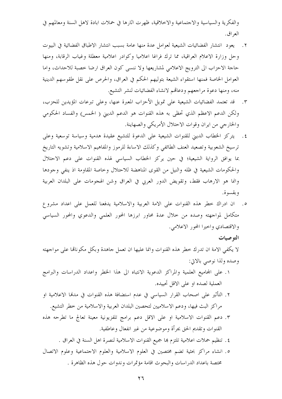والفكرية والسياسية والاحتماعية والاخلاقية، ظهرت اثارها في حملات ابادة لاهل السنة ومعالمهم في العر اق .

- ٢. يعود انتشار الفضائيات الشيعية لعوامل عدة منها عامة بسبب انتشار الاطباق الفضائية في البيوت وحل وزارة الاعلام العراقية، مما ترك فراغا اعلاميا وكوادر اعلامية معطلة وغياب الرقابة، ومنها حاجة الاحزاب الى الترويج الاعلامي لمشاريعها ولا ننسى كون العراق ارضا خصبة للاحداث، واما العوامل الخاصة فمنها استقواء الشيعة بتوليهم الحكم في العراق، والحرص على نقل طقوسهم الدينية منه، ومنها دعوة مراجعهم ودعاقم لانشاء الفضائيات لنشر التشيع.
- ٣. قد تعتمد الفضائيات الشيعية على تمويل الأحزاب المعبرة عنها، وعلى تبرعات المؤيدين للحزب، ولكن الدعم الاعظم الذي تحظى به هذه القنوات هو الدعم الديني ( الخمس) والفساد الحكومي والخارجي من ايران وقوات الاحتلال الأمريكي والصهاينة.
- ٤. يتركز الخطاب الديني للقنوات الشيعية على الدعوة للتشيع عقيدة هدمية وسياسة توسعية وعلى ترسيخ الشعوبية وتصعيد العنف الطائفي وكذلك الاساءة للرموز والمفاهيم الاسلامية وتشويه التاريخ بما يوافق الرواية الشيعية؛ في حين يركز الخطاب السياسي لهذه القنوات على دعم الاحتلال والحكومات الشيعية في ظله والنيل من القوى المناهضة للاحتلال وخاصة المقاومة اذ ينفى وجودها وانما هو الارهاب فقط، وتقويض الدور العربي في العراق وشن الهجومات على البلدان العربية و بقسو ة.
- ه. أن ادراك خطر هذه القنوات على الامة العربية والاسلامية يدفعنا للعمل على اعداد مشروع متكامل لمواجهته وصده من حلال عدة محاور ابرزها المحور العلمى والدعوي والمحور السياسي والاقتصادي واحيرا المحور الاعلامي.

## التوصيات

لا يكفي الامة ان تدرك خطر هذه القنوات وانما عليها ان تعمل حاهدة وبكل مكوناقما على مواجهته وصده ولذا نوصي بالاتي:

- ١. على المحاميع العلمية والمراكز الدعوية الانتباه الى هذا الخطر واعداد الدراسات والبرامج العملية لصده او على الاقل تحييده.
- ٢. التأثير على اصحاب القرار السياسي في عدم استضافة هذه القنوات في مدنما الاعلامية او مراكز البث فيها، ودعم الاسلاميين لتحصين البلدان العربية والاسلامية من خطر التشيع.
- ٣. دعم القنوات الاسلامية او على الاقل دعم برامج تلفزيونية معينة تعالج ما تطرحه هذه القنوات وتقديم الحق بجرأة وموضوعية من غير انفعال وعاطفية.
	- ٤. تنظيم حملات اعلامية تلتزم بما جميع القنوات الاسلامية لنصرة اهل السنة في العراق .
- ٥. انشاء مراكز بحثية تضم مختصين في العلوم الاسلامية والعلوم الاجتماعية وعلوم الاتصال مختصة باعداد الدراسات والبحوث اقامة مؤتمرات وندوات حول هذه الظاهرة .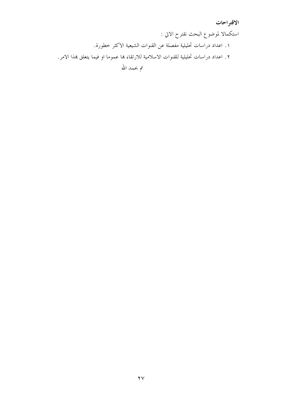## الاقتراحات

استكمالا لموضوع البحث نقترح الاتي : ١. اعداد دراسات تحليلية مفصلة عن القنوات الشيعية الاكثر خطورة. ٢. اعداد دراسات تحليلية للقنوات الاسلامية للارتقاء بما عموما او فيما يتعلق بمذا الامر.

تم بحمد الله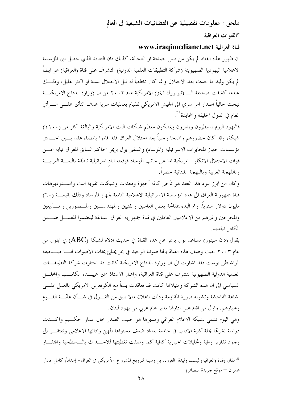# ملحق : معلومات تفصيلية عن الفضائيات الشيعية في العالم \*القنوات العراقية

## قناة العراقية www.iraqimedianet.net

ان ظهور هذه القناة لم يكن من قبيل الصدفة او العجالة، كذلك فان التعاقد الذي حصل بين المؤسسة الاعلامية اليهودية الصهيوينة (شركة التطبيقات العلمية الدولية) لتشرف على قناة (العراقية) هو ايضاً لم يكن وليد ما حدث بعد الاحتلال وانما كان مخططاً له قبل الاحتلال بسنة او اكثر بقليل، وذلــــك عندما كشفت صحيفة الــــ (نيويورك تايمز) الامريكية عام ٢٠٠٢ من ان (وزارة الدفاع الامريكيـــة تبحث حالياً اصدار امر سري الى الجيش الامريكي للقيام بعمليات سرية بمدف التأثير علــــى الـــــرأي العام في الدول الحليفة والمحايدة أكم

فاليهود اليوم يسيطرون ويديرون ويمتلكون معظم شبكات البث الامريكية والبالغة اكثر من (١١٠٠) شبكة، وقد كان حضورهم واضحا وحلياً بعد احتلال العراق فقد قاموا بامضاء عقد بسين احسدي مؤسسات جهاز المخابرات الاسرائيلية (الموساد) والسفير بول بريمر الحاكم السابق للعراق نيابة عــــن قوات الاحتلال الانكلو– امريكية اما عن حانب الموساد فوقعته اياد اسرائيلية ناطقة باللغــــة العربيــــة وباللهجة العربية وباللهجة اللبنانية حصراً.

وكان من ابرز بنود هذا العقد هو تأجير كافة أجهزة ومعدات وشبكات تقوية البث واســـتوديوهات قناة جمهورية العراق الى هذه المؤسسة الاسرائيلية الاعلامية التابعة لجهاز الموساد وذلك بقيمـــة (٦٠) مليون دولار سنوياً. وتم البدء بمفاتحة بعض العاملين والفنيين والمهندســـين والمـــصورين والمــــذيعين والمخرجين وغيرهم من الاعلاميين العاملين في قناة جمهورية العراق السابقة لينضموا للعمــــل ضــــمن الكادر الجديد.

يقول (دان سينور) مساعد بول بريمر عن هذه القناة في حديث ادلاه لشبكة (ABC) في ايلول من عام ٢٠٠٣ حيث وصف هذه القناة بالها صوتنا الوحيد في بحر يمتلئ بمئات الاصوات امــــا صـــحيفة الواشنطن بوست فقد اشارت الى ان وزارة الدفاع الامريكية كانت قد اختارت شركة التطبيقـــات العلمية الدولية الصهيونية لتشرف على قناة العراقية، واشار الاستاذ سمير عبيـــد، الكاتـــب والمحلــــل السياسي الى ان هذه الشركة ومثيلاقما كانت قد تعاقدت بدءًا مع الكونغرس الامريكي بالعمل علــــي اشاعة الفاحشة وتشويه صورة المقاومة وذلك باعلان مالا يليق من القسول في شسأن عليّـــة القسـوم وخيارهم. واول من اقام على ادارها مدير عام عربي من يهود لبنان.

وهي اليوم تنتمي لشبكة الاعلام العراقي ومديرها هو حبيب الصدر حال عمار الحكسيم واكسدت دراسة نشرقما مجلة كلية الاداب في جامعة بغداد ضعف مستواها المهنى وادائها الاعلامي وتفتقـــر الى وجود تقارير وافية وتحليلات اخبارية كافية كما وصفت تغطيتها للاحسداث بالسسطحية وافتقسار

<sup>&</sup>lt;sup>31</sup> مقال (قناة (العراقية) ليست وليدة الغزو.. بل وسيلة لترويج المشروع الأمريكي في العراق– إعداد/ كامل عادل عمران — موقع جريدة البصائر)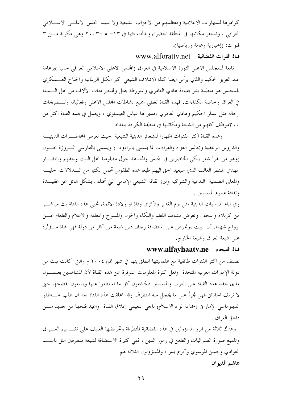كوادرها للمهارات الاعلامية ومعظمهم من الاحزاب الشيعية ولا سيما المحلس الاعلـــي الاســــلامي العراقبي ، وتستقر مكاتبها في المنطقة الخضراء وبدأت بثها في ١٣– ٥ –٢٠٠٣ وهي مكونة مــــن ٣ قنوات: (إحبارية وعامة ورياضية).

## قناة الفرات الفضائية \_ www.alforatty.net

تابعة للمجلس الاعلى الثورة الاسلامية في العراق (المجلس الاعلى الاسلامي العراقي حاليا )بزعامة عبد العزيز الحكيم والذي يرأس ايضا كتلة الائتلاف الشيعي اكبر الكتل البرلمانية والجناح العـــسكري للمجلس هو منظمة بدر بقيادة هادي العامري والمتورطة بقتل وتمجير مئات الآلاف من اهل الــــسنة في العراق وخاصة الكفاءات، فهذه القناة تغطي جميع نشاطات المحلس الاعلى وفعالياته وتـــصريحات رجاله مثل عمار الحكيم وهادي العامري ،مدير ها عباس العيساوي ، ويعمل في هذه القناة اكثر من ٣٠٠موظف كلهم من الشيعة ومكاتبها في منطقة الكرادة ببغداد .

وهذه القناة اكثر القنوات اظهارا للشعائر الدينية الشيعية حيث تعرض المحاضـــرات الدينيـــة والدروس الوعظية ومجالس العزاء والقراءات لما يسمى بالرادود ( ويسمى بالفارسي السروزة حسون )وهو من يقرأ شعر يبكي الحاضرين في المجلس والمشاهد حول مظلومية اهل البيت وحقهم وانتظـــار المهدي المنتظر الغائب الذي سيعيد الحق اليهم طبعا هذه الطقوس تحمل الكثير من الـــــــــــــــــــــــــــــــــ والمعاني الضمنية البدعية والشركية وتبرز ثقافة الشيعي الإمامي التي تختلف بشكل هائل عن عقيــدة وثقافة عموم المسلمين .

وفي ايام المناسبات الدينية مثل يوم الغدير وذكرى وفاة او ولادة الائمة، تحيى هذه القناة بث مباشـــر من كربلاء والنجف وتعرض مشاهد اللطم والبكاء والحزن والمسوح والمعلقة والاعلام والطعام عـــن ارواح شهداء آل البيت ،وتحرص على استضافة رجال دين شيعة من اكثر من دولة فهي قناة مـــؤثرة على شيعة العراق وشيعة الخارج.

#### قناة الفيحاء www.alfayhaatv.ne

تصنف من اكثر القنوات طائفية مع علمانيتها انطلق بثها في شهر تموز؟ ٢٠٠ م والتي كانت تبث من دولة الإمارات العربية المتحدة ۖ ولعل كثرة المعلومات المتوفرة عن هذه القناة لأن المشاهدين يعلمــــون مدى حقد هذه القناة على العرب والمسلمين فيكشفون كل ما استطعوا عنها ويسعون لفضحها حتى لا تزيف الحقائق فهي تجرأ على ما يخجل منه المتطرف وقد اغلقت هذه القناة بعد ان طلب خــــاطفو الدبلوماسي الإماراتي (جماعة لواء الاسلام) ناجي النعيمي إغلاق القناة واعيد فتحها من جديد مـــن داخل العراق .

وهناك ثلاثة من ابرز المسؤولين في هذه الفضائية المتطرفة وتحريضها العنيف على تقــــسيم العــــراق وتلميع صورة الفدراليات والطعن في رموز الدين ، فهي كثيرة الاستضافة لشيعة متطرفين مثل باســـم العوادي وحسن الموسوي وكريم بدر ، والمسؤولون الثلاثة هم : هاشم الديوان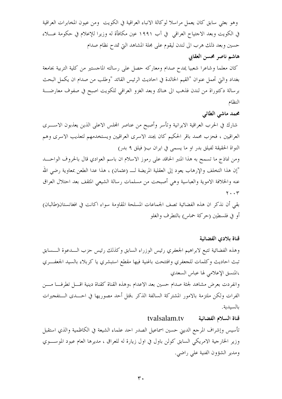وهو بعثي سابق كان يعمل مراسلا لوكالة الانباء العراقية في الكويت ومن عيون المخابرات العراقية في الكويت وبعد الاجتياح العراقبي في آب ١٩٩١ عين مكافأة له وزيرا للإعلام في حكومة عــــلاء حسين وبعد ذلك هرب الى لندن ليقوم على مجلة المشاهد التي تمدح نظام صدام هاشم ناصر محسن العقابي

كان معلما وشاعرا شعبيا يمدح صدام ومعاركه حصل على رسالته الماجستير من كلية التربية بجامعة بغداد والتي تحمل عنوان "القيم الخالدة في احاديث الرئيس القائد "وطلب من صدام ان يكمل البحث برسالة دكتوراة من لندن فذهب الى هناك وبعد الغزو العراقبي للكويت اصبح في صفوف معارضــــة النظام

محمد ماشي الطائي

شارك في الحرب العراقية الايرانية وتأسر وأصبح من عناصر المحلس الاعلى الذين يعذبون الاســــرى العراقيين ، فحزب محمد باقر الحكيم كان يجند الاسرى العراقيين ويستخدمهم لتعذيب الاسرى وهم النواة الحقيقة لفيلق بدر او ما يسمى في ايران ب( فيلق ٩ بدر)

ومن نماذج ما تسمح به هذا المنبر الحاقد على رموز الاسلام ان باسم العوادي قال بالحروف الواحــد "إن هذا التخلف والإرهاب يعود إلى العقلية المريضة لــــ (عثمان) ، هذا عدا الطعن بمعاوية رضي الله عنه والخلافة الاموية والعباسية وهي أصبحت من مسلمات رسالة الشيعي المثقف بعد احتلال العراق  $\mathbf{y} \cdot \cdot \mathbf{r}$ 

بقى أن نذكر ان هذه الفضائية تصف الجماعات المسلحة المقاومة سواء اكانت في افغانستان(طالبان) أو في فلسطين (حركة حماس) بالتطرف والغلو

قناة بلادى الفضائية

وهذه الفضائية تتبع لابراهيم الجعفري رئيس الوزراء السابق وكذلك رئيس حزب السدعوة السسابق تبث احاديث وكلمات للجعفري وافتتحت باغنية فيها مقطع استبشري يا كربلاء بالسيد الجعفـــري ،المنسق الإعلامي لها عباس السعدي

وانفردت بعرض مشاهد لجثة صدام حسين بعد الاعدام ،وهذه القناة كقناة دينية اقـــل تطرفـــا مــــن الفرات ولكن ملتزمة بالامور المشتركة السالفة الذكر ،قتل أحد مصوريها في احـــدى الـــتفجيرات بالسيدية.

#### tvalsalam.tv قناة السلام الفضائية

تأسيس وإشراف المرجع الديين حسين اسماعيل الصدر احد علماء الشيعة في الكاظمية والذي استقبل وزير الخارجية الامريكي السابق كولن باول في اول زيارة له للعراق ، مديرها العام عبود الموســوي ومدير الشؤون الفنية على راضي.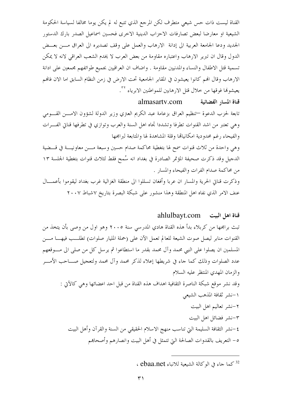القناة ليست ذات حس شيعي متطرف لكن المرجع الذي تتبع له لم يكن يوما مخالفا لسياسة الحكومة الشيعية او معارضا لبعض تصارفات الاحزاب الدينية الاخرى فحسين اسماعيل الصدر بارك الدستور الجديد ودعا الجامعة العربية الى إدانة الارهاب والعمل على وقف تصديره الى العراق مسن بعسض الدول وقال ان تبرير الارهاب واعتباره مقاومة من بعض العرب لا يخدم الشعب العراقي لانه لا يمكن تسمية قتل الاطفال والنساء والمدنيين مقاومة . واضاف ان العراقيين بجميع طوائفهم مجمعين على ادانة الارهاب وقال الهم كانوا يعيشون في المقابر الجامعية تحت الارض في زمن النظام السابق اما الان فالهم يعيشوها فوقها من خلال قتل الارهابين للمواطنين الابرياء \*\*.

قناة المسار الفضائية almasarty.com تابعة لحزب الدعوة —تنظيم العراق بزعامة عبد الكريم العتري وزير الدولة لشؤون الامــــن القــــومي وهي تعتبر من اشد القنوات تطرفا وتشددا تجاه اهل السنة والعرب وتوازي في تطرفها قناتي الفـــرات والفيحاء رغم محدودية امكانياقما وقلة المشاهدة لها والمتابعة لبرامجها وهي واحدة من ثلاث قنوات سمح لها بتغطية محاكمة صدام حسين وسبعة مسن معاونيسة في قسضية الدجيل وقد ذكرت صحيفة المؤتمر الصادرة في بغداد انه سُمح فقط لثلاث قنوات بتغطية الجلسة ١٣ من محاكمة صدام الفرات والفيحاء والمسار . وذكرت قناتي الحرية والمسار ان عربا وأفغان تسللوا الى منطقة الغزالية غرب بغداد ليقوموا بأعمـــال عنف الامر الذي نفاه اهل المنطقة وهذا منشور على شبكة البصرة بتاريخ ٧شباط ٢٠٠٧

## ahlulbayt.com قناة اهل البيت

تبث برامجها من كربلاء بدأ هذه القناة هادي المدرسي سنة ٢٠٠٥ وهو اول من وصى بأن يتخذ من القنوات منابر ليصل صوت الشيعة للعالم تعمل الآن على (حملة المليار صلوات) تطلــب فيهـــا مـــن المسلمين ان يصلوا على النبي محمد وآل محمد بقدر ما استطاعوا ثم يرسل كل من صلى الى مـــوقعهم عدد الصلوات وذلك كما جاء في شريطها إعلاء لذكر محمد وآل محمد ولتعجيل صـــاحب الأمــــر والزمان المهدى المنتظر عليه السلام وقد نشر موقع شبكة الناصرة الثقافية اهداف هذه القناة من قبل احد اعضائها وهي كالآتي : ١–نشر ثقافة المذهب الشيعي ۲–نشر تعالیم اهل البیت ٣–نشر فضائل اهل البيت ٤–نشر الثقافة السليمة التي تناسب منهج الاسلام الحقيقي من السنة والقرآن وأهل البيت ٥– التعريف بالقدوات الصالحة التي تتمثل في أهل البيت وانصارهم وأصحاهم

<sup>&</sup>lt;sup>32</sup> كما جاء في الوكالة الشيعية للانباء ebaa.net ،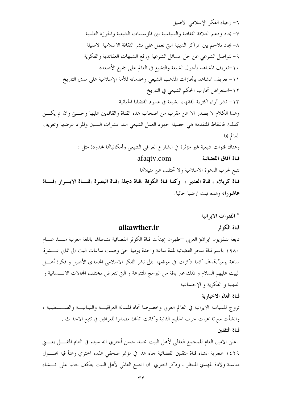٦– إحياء الفكر الإسلامي الاصيل ٧–ايجاد ودعم العلاقة الثقافية والسياسية بين المؤسسات الشيعية والحوزة العلمية ٨–ايجاد تلاحم بين المراكز الدينية التي تعمل على نشر الثقافة الاسلامية الاصيلة ٩-التواصل الشرعي عن حل المسائل الشرعية ورفع الشبهات العقائدية والفكرية ١٠-تعريف المشاهد بأحول الشيعة والتشيع في العالم على جميع الأصعدة ١١- تعريف المشاهد بإنجازات المذهب الشيعي وخدماته للأمة الإسلامية على مدى التاريخ ١٢–استعراض تجارب الحكم الشيعي في التاريخ ١٣– نشر آراء اكثرية الفقهاء الشيعة في عموم القضايا الحياتية وهذا الكلام لا يصدر الا عن مقرب من اصحاب هذه القناة والقائمين عليها وحسيت وان لم يكسن كذلك فالنقاط المتقدمة هي حصيلة جهود العمل الشيعي منذ عشرات السنين والمراد عرضها وتعريف العالم بما وهناك قنوات شيعية غير مؤثَّرة في الشارع العراقي الشيعي وأمكانيالها محدودة مثل : afaqty.com قناة آفاق الفضائية تتبع لحزب الدعوة الاسلامية ولا تختلف عن مثيلاقما قناة كربلاء ، قناة الغدير ، وكذا قناة الكوفة ،قناة دجلة ،قناة البصرة ،قنساة الابسرار ،قنساة عاشوراء وهذه تبث ارضيا حاليا.

\* القنوات الايو انية

#### قناة الكوثر alkawther.ir

تابعة لتلفزيون ايران( العربي —طهران )بدأت قناة الكوثر الفضائية نشاطاتها باللغة العربية منــــذ عــــام ١٩٨٠ باسم قناة سحر الفضائية لمدة ساعة واحدة يوميآ حتى وصلت ساعات البث الى ثماني عـــشرة ساعة يوميآ.تهدف كما ذكرت في موقعها :الى نشر الفكر الاسلامي المحمدي الأصيل و فكرة أهــــل البيت عليهم السلام و ذلك عبر باقة من البرامج المتنوعة و التي تتعرض لمختلف المحالات الانــــسانية و الدينية و الفكرية و الإحتماعية

## قناة العالم الاخبارية

تروج للسياسة الايرانية في العالم العربي وخصوصا تجاه المسالة العراقيـــة واللبنانيـــة والفلـــسطينية ، وانشأت مع تداعيات حرب الحليج الثانية وكانت انذاك مصدرا للعراقين في تتبع الاحداث . قناة الثقلين

اعلن الامين العام للمجمع العالمي لأهل البيت محمد حسن أختري انه سيتم في العام المقبــــل يعـــــني ١٤٢٩ هجرية انشاء قناة الثقلين الفضائية جاء هذا في مؤتمر صحفي عقده اختري وهنأ فيه بحلـــول مناسبة ولادة المهدي المنتظر ، وذكر اختري ان المجمع العالمي لأهل البيت يعكف حاليا على انــــشاء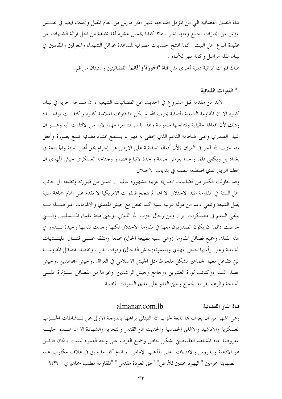قناة الثقلين الفضائية التي من المؤمل افتتاحها شهر آذار مارس من العام المقبل وتحدث ايضا في نفـــس المؤتمر عن انجازات المجمع ومنها نشر ٣٥٠ كتابا بخمس عشرة لغة مختلفة من اجل ازالة الشبهات عن عقيدة اتباع اهل البيت كما افتتح حسابات مصرفية لمساعدة عوائل الشهداء والمعوقين والمقاتلين في لبنان نقله مراسل وكالة مهر للأنباء . هناك قنوات ايرانية دينية أحرى مثل قناة "الحوزة"و"قائم" الفضائيتين وستبثان من قم.

\* القنوات اللبنانية

لابد من مقدمة قبل الشروع في الحديث عن الفضائيات الشيعية ، ان مساحة الحرية في لبنان كبيرة الا ان المقاومة الشيعية المتمثلة بحزب الله لم يكن لها قنوات اعلامية كثيرة واكتفـــت بواحــــدة وذلك لأن افعالها حقيقية ونتائجها ملموسة وهذا يفسر لنا امرا مهما لابد من الالتفات اليه وهـــو ان التيار الصدري وعلى ضخامة الدعم الذي يحظى به فهو لم يستطع انشاء فضائية تلمع بصورة وتجعل منه حزب الله آخر في العراق ؛لأن أفعاله الحقيقية على الارض هي إجرام بحق أهل السنة والجماعة في بغداد بل ويكفى فلما واحدا يعرض جريمة واحدة لاتباع الصدر وحناحه العسكري حيش المهدي ان يحطم البريق الذي اصطنعه لنفسه في بدايات الاحتلال

وقد حاولت الكثير من فضائيات اخبارية عربية مشهورة عالميا ان تحسن من صورته وتضعه الى حانب اهل السنة في المقاومة ضد الاحتلال الا الها لم تنجح فالقوات الامريكية لا تقدم على الهام جماعة سنية بقتل الشيعة وتلقى دعم من دولة عربية سنية كما تفعل مع جيش المهدي والاقمامات المتواصـــلة لــــه بتلقى الدعم في معسكرات ايران ومن رجال حزب الله اللبنايي ،وحيّ هيئة علماء المـــسلمين والـــــتي حرصت دائما ان يكون الصدريون معها في مقاومة الاحتلال لكنها وحدت نفسها وحيدة تــــدور في هذا الفلك وجميع فصائل المقاومة (وهي سنية بطبيعة الحال) محمعة ومتفقة علـــي قتـــال المليـــشيات الشيعية وعلى رأسها حيش المهدي ويسمونه(حيش الدحال) وقوات بدر ، ونقصد بفصائل المقاومـــة التي تتفاعل معها الجماهير بشكل ملحوظ مثل الجيش الاسلامي في العراق ،وجيش المجاهدين ،وجيش انصار السنة ،وكتائب ثورة العشرين ،وجامع وجيش الراشدين وغيرها من الفصائل المسؤثرة علسى الساحة واثرهم يقر به الجميع وحتى العدو على مدى السنوات الماضية.

> almanar.com.lb قناة المنار الفضائية

وهي اشهر من ان يعرف ها تابعة لحزب الله اللبنايي برامجها بالدرجة الاولى عن نــــشاطات الحــــزب العسكرية والاناشيد والاغاني الحماسية والحديث عن القدس والتحرير والشهادة الا ان هـــذه الحليـــة المعروضة امام المشاهد الفلسطيني بشكل خاص وجميع العرب على وجه العموم ليست بالمحان فالثمن هو الادعية والدروس والافتاءات ً على المذهب الإمامي ۖ ويقدم كلِّ ما سبقٍ في غلافٍ مكتوبٍ عليه " الصهاينة مجرمين " اليهود محتلين للأرض" "حق العودة مقدس " "المقاومة مطلب جماهيري " ؟؟؟؟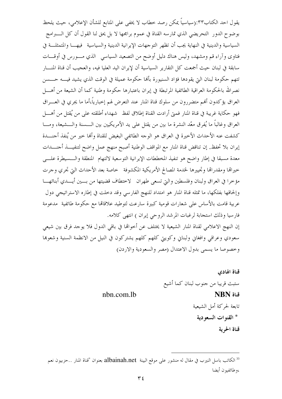يقول احد الكتاب٣٣:(سياسياً يمكن رصد خطاب لا يخفى على المتابع للشأن الإعلامى، حيث يلحظ بوضوح الدور ۖ التحريضي الذي تمارسه القناة في عموم برامجها لا بل يحق لنا القول أن كل الــــــــــرامج السياسية والدينية في النهاية يجب أن تظهر التوجهات الإيرانية الدينية والسياسية فيهــا والمتمثلــة في فتاوى وآراء قم ومشهد، وليس هناك دليل أوضح من التصعيد السياسي الذي مـــورس في أوقـــات سابقة في لبنان حيث أجمعت كل التقارير السياسية أن لإيران اليد العليا فيه، والعجيب أن قناة المنــــار تتهم حكومة لبنان التي يقودها فؤاد السنيورة بألها حكومة عميلة في الوقت الذي يشيد فيــــه حــــسن نصرالله بالحكومة العراقية الطائفية المرتبطة في إيران باعتبارها حكومة وطنية كما أن الشيعة من أهــــل العراق يؤكدون ألهم متضررون من سلوك قناة المنار عند التعرض لهم إحبارياً،أما ما يجرى في العـــراق فهو حكاية غريبة في قناة المنار فمتي أرادت القناة إطلاق لفظ شهداء أطلقته على من يُقتل من أهــــل العراق وغالباً ما يُفرق معّد النشرة ما بين من يقتل على يد الأمريكيين بين الـــسنة والـــشيعة، ومـــا كشفت عنه الأحداث الأخيرة في العراق هو الوجه الطائفي البغيض للقناة وألها حير من يُنفذ أحنـــدة إيران بلا تحفظ. إن تناقض قناة المنار مع المواقف الوطنية أصبح منهج عمل واضح لتنفيـــذ أحنــــدات معدة مسبقا في إطار واضح هو تنفيذ المخططات الإيرانية التوسعية لالتهام المنطقة والسسيطرة علسى خيراقما ومقدراقما وتجييرها لحندمة المصالح الأمريكية المكشوفة حخاصة بعد الأحداث التي تحري وحرت مؤخرا في العراق ولبنان وفلسطين والتي تسعى طهران لاختطاف قضيتها من بسين أيسدي أبنائهـــا وإلحاقها بفلكها، ما تمثله قناة المنار هو امتداد للنهج الفارسي وقد دخلت في إطاره الاستراتيجي دول عربية قامت بالأساس على شعارات قومية كبيرة سارعت لتوطيد علاقاتما مع حكومة طائفية مدعومة فارسيا وذلك استجابة لرغبات المرشد الروحي إيران ) انتهى كلامه. إن النهج الإعلامي لقناة المنار الشيعية لا يختلف عن أخوالها في باقي الدول فلا يوحد فرق بين شيعي سعودي وعراقي وافغاني ولبناني وكويتي كلهم كلهم يشتركون في النيل من الانظمة السنية وشعوبها

> قناة الهادى ستبث قريبا من حنوب لبنان كما أشيع nhn.com.lh NBN قناة تابعة لحركة أمل الشيعية \* القنوات السعودية قناة الحرية

وخصوصا ما يسمى بدول الاعتدال (مصر والسعودية والاردن)

<sup>&</sup>lt;sup>33</sup> الكاتب باسل النيرب في مقال له منشور على موقع البينة albainah.net بعنوان "قناة المنار ..حزبيون نعم ،وطائفيون أيضا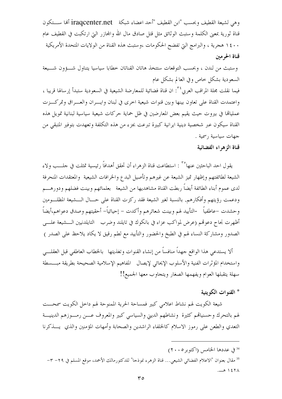وهي لشيعة القطيف وبحسب "ابن القطيف "أحد اعضاء شبكة iraqcenter.net ألها ســـتكون قناة ثورية بمعنى الكلمة وستبث الوثائق مثل قتل صادق مال الله والمحازر التي ارتكبت في القطيف عام ١٤٠٠ هجرية ، والبرامج التي تفضح الحكومات ،وستبث هذه القناة من الولايات المتحدة الأمريكية قناة الحرمين

وستبث من لندن ، وبحسب التوقعات ستتخذ هاتان القناتان خطابا سياسيا يتناول شــوون شــيعة السعودية بشكل حاص وفي العالم بشكل عام

فيما نقلت مجلة المراقب العربي<sup>٢٤</sup>: ان قناة فضائية للمعارضة الشيعية في السعودية ستبدأ إرسالها قريبا ، واعتمدت القناة على تعاون بينها وبين قنوات شيعية اخرى في لبنان وايسران والعسراق وتمركسزت عمليالها في بيروت حيث يقيم بعض المعارضين في ظل حماية حركات شيعية سياسية لبنانية تمويل هذه القناة سيكون عبر شخصية دينية ايرانية كبيرة تبرعت بجزء من هذه التكلفة وتعهدت بتوفير المتبقى من جهات سياسية رسمية .

## قناة الزهراء الفضائية

يقول احد الباحثين عنها°" : استطاعت قناة الزهراء أن تحقق أهدافاً رئيسية تمثلت في حلـــب ولاء الشيعة لطائفتهم وإظهار تميز الشيعة عن غيرهم وتأصيل البدع والخرافات الشيعية والمعتقدات المنحرفة لدى عموم أبناء الطائفة أيضاً ربطت القناة مشاهديها من الشيعة بعلمائهم وبينت فضلهم ودورهــــم ودعمت رؤيتهم وأفكارهم. بالنسبة لغير الشيعة فقد ركزت القناة على حـــال الـــشيعة المظلـــومين وحشدت –عاطفياً -التأييد لهم وبينت شعائرهم وأكدت – إحيائياً– أحقيتهم وصدق دعواهم،أيضاً أظهرت نجاح دعوقمم (عرض لمواكب عزاء في بانكوك في تايلند وضرب التايلدنيين الــــشيعة علــــي الصدور ومشاركة النساء لهم في الطبخ والحضور والتأييد مع لطم رقيق لا يكاد يلاحظ على الصدر )

ألا يستدعى هذا الواقع جهداً منافساً من إنشاء القنوات وتغذيتها بالخطاب العاطفي قبل العقلـــي واستخدام المؤثرات الفنية والأسلوب الإيحائي لإيصال المفاهيم الإسلامية الصحيحة بطريقة مبسسطة سهلة يتقبلها العوام ويفهمها الصغار ويتجاوب معها الجميع!!

## \* القنوات الكويتية

شيعة الكويت لهم نشاط اعلامي كبير فمساحة الحرية الممنوحة لهم داخل الكويت سمحـــت لهم بالتحرك وحسنياقمم كثيرة ونشاطهم الديني والسياسي كبير والمعروف عسن رمسوزهم الدينيسة التعدي والطعن على رموز الاسلام كالخلفاء الراشدين والصحابة وأمهات المؤمنين والذي يسذكرنا

35 مقال بعنوان "الاعلام الفضائي الشيعي... قناة الزهرء نموذجا" للدكتورمالك الأحمد، موقع المسلم في ٢٩– ٣–  $-$  127 $\Lambda$ 

<sup>&</sup>lt;sup>34</sup> في عددها الخامس (اكتوبر ٢٠٠٥)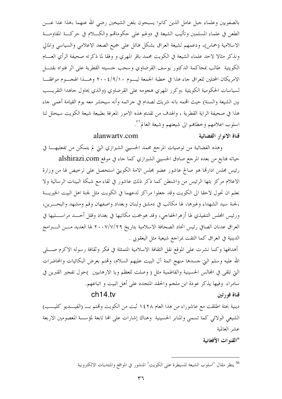بالصفويين وعلماء جبل عامل الذين كانوا يسبحون بلعن الشيخين رضى الله عنهما ،هذا عدا عـــن الطعن في علماء المسلمين وتأليب الشيعة في دولهم على حكوماتهم والكـــلام في حركـــة المقاومــــة الاسلامية (حماس)، ودعمهم لشيعة العراق بشكل هائل على جميع الصعد الاعلامي والسياسي والمالي ونذكر مثالا لاحد علماء الشيعة في الكويت محمد باقر المهري و وفقا لما ذكرته صحيفة الرأي العسام الكويتية طالب بمحاكمة الدكتور يوسف القرضاوي وسحب حنسيته القطرية على اثر فتواه بقتـــل الامريكان المحتلين للعراق جاء هذا في خطبة الجمعة ليــــوم ٢٠٠٤/٩/١٠ وهــــذا الهجــــوم موافقــــا لسياسات الحكومية الكويتية ،وكرر المهري هجومه على القرضاوي (والذي يحاول جاهدا التقريـــب بين الشيعة والسنة) حيث الهمه بانه شريك لصدام في جرائمه وأنه سيحشر معه يوم القيامة أعمى جاء هذا في صحيفة الراية القطرية ، والهدف من تقديم هذه الامور المعرفة بطبيعة شيعة الكويت سيحلل لنا اسلوب اعلامهم وخطاهم الى شيعتهم وشيعة العالم\*\*.

## alanwarty.com

### قناة الانوار الفضائية

وهذه الفضائية من توصيات المرجع محمد الحسيبي الشيرازي التي لم يتمكن من تفعليهـــا في حياته فتابع من بعده المرجع صادق الحسيني الشيرازي كما جاء في موقع alshirazi.com رئيس مجلس ادارتما هو صالح عاشور عضو مجلس الامة الكويتي استحصل على ترحيص لها من وزارة الاعلام مركز بثها الرئيس من واشنطن كما ذكر ذلك عاشور في لقاء مع شبكة البينات الرسالية ولا نعلم ان تحول لاحقا الى الكويت وقد جعلوا مراكز لدعهما في الكويت مثل لجنة اهل البيت الخيريـــة ،لجنة سيد الشهداء وغيرها، لها مكاتب في دمشق ولبنان وبغداد واصفهان وقم ومشهد والبحـــرين، ورئيس المجلس التنفيذي لها أزهرالحفاجي، وقد هوجمت مكاتبها في بغداد وقتل أحـــد مراســــليها في العراق عدنان الصافي رئيس اتحاد الصحافة الاسلامية بتاريخ ٢٠٠٧/٧/٢٩ لها العديد مــــن الـــــبرامج الدينية في العراق كما التقت بمراجع شيعية مثل اليعقوبي .

أهدافها وكما نشرت على الموقع نقل الثقافة الاسلامية المتمثلة في فكر وثقافة رسوله الاكرم صــــلمي الله عليه وسلم التي حسدها منهج ائمة آل البيت عليهم السلام، وقمتم بعرض البكائيات والمحاضرات التي تلقى في المحالس الحسينية والفاطمية مثل ( وصلت للعظم ويا الارهابيين )حول تفجير القبرين في سامراء وفيها يذكر عودة ابن ملحم والحقد المتجدد على أهل البيت و اتباعهم.

## $ch14$  tv

قناة فورتين

دينية بحتة اطلقت مع عاشوراء من هذا العام ١٤٢٨ ثبت من الكويت وتمتم بــــ (الفيــــديو كليــــب) الشيعي الولائي كما تسمى والمنابر الحسينية وهناك إشارات على الها تابعة لمؤسسة المعصومين الاربعة عشر العالمية

\*القنوات الأفغانية

<sup>&</sup>lt;sup>36</sup> ينظر مقال "اسلوب الشيعة للسيطرة على الكويت" المنشور في المواقع والمنتديات الالكترونية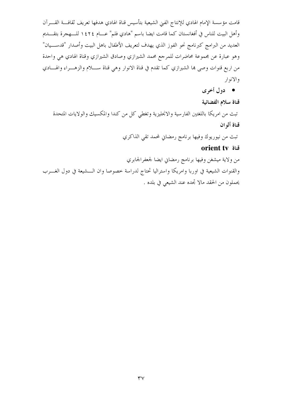قامت مؤسسة الإمام الهادي للإنتاج الفني الشيعية بتأسيس قناة الهادي هدفها تعريف ثقافـــة القــــرآن وأهل البيت للناس في أفغانستان كما قامت ايضا باسم "هادي فلم" عـــام ١٤٢٤ للـــهجرة بتقــــديم العديد من البرامج كبرنامج نحو الفوز الذي يهدف لتعريف الأطفال باهل البيت وأصدار "قدســـيان" وهو عبارة عن مجموعة محاضرات للمرجع محمد الشيرازي وصادق الشيرازي وقناة الهادي هي واحدة من اربع قنوات وصي بما الشيرازي كما تقدم في قناة الانوار وهي قناة ســــلام والزهــــراء والهــــادي والانوار

● دول أخرى

قناة سلام الفضائية تبث من امريكا باللغتين الفارسية والانجليزية وتغطى كل من كندا والمكسيك والولايات المتحدة قناة ألو ان

تبث من نيوريوك وفيها برنامج رمضاني لمحمد تقى الذاكري

## orient tv قناة

من ولاية ميشغن وفيها برنامج رمضاني ايضا لجعفرالجابري والقنوات الشيعية في اوربا وامريكا واستراليا تحتاج لدراسة خصوصا وان الـــشيعة في دول الغـــرب يحملون من الحقد مالا تحده عند الشيعي في بلده .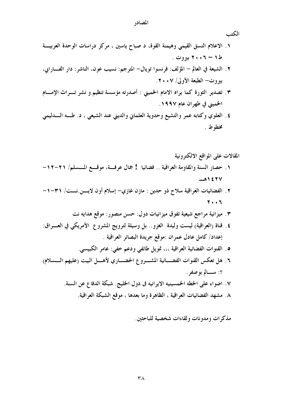#### المصادر

الكتب

- ١. الاعلام النسق القيمي وهيمنة القوة، د صباح ياسين ، مركز دراسات الوحدة العربية ط۱ – ۲۰۰۲ بیروت .
- ٢. الشيعة في العالم المؤلف: فرنسوا تويال– المترجم: نسيب عون، الناشر: دار الفـــارابي، بيروت— الطبعة الأولى/ ٢٠٠٧.
- ٣. تصدير الثورة كما يراه الامام الخميني : أصدرته مؤسسة تنظيم و نشر تـــراث الإمـــام الخميني في طهران عام ١٩٩٧.
- ٤ . العلوي وكتابه عمر والتشيع وحدوية العلماني والديني عند الشيعي ، د. طـــه الــــدليمي مخطوط.

المقالات على المواقع الالكترونية

- ١. حصار السنة والمقاومة العراقية .. فضائيا ۚ إ جمال عرفسة، موقسع المسسلم/ ٢١-١٢- $\rightarrow$  127 $\vee$
- ٢ . الفضائيات العراقية سلاح ذو حدين : مازن غازي— إسلام أون لايسن نست/ ٣١-١-7..7
	- ٣. ميزانية مراجع شيعية تفوق ميزانيات دول: حسن منصور: موقع هدايه نت
- ٤. قناة (العراقية) ليست وليدة الغزو .. بل وسيلة لترويج المشروع الأمريكي في العـــراق: إعداد/ كامل عادل عمران :موقع جريدة البصائر العراقية .
	- ٥ . القنوات الفضائية العراقية ،،، تمويل طائفي ودعم خفي: عامر الكبيسي.
- ٦. هل تعكس القنوات الفضـــائية المشــــروع الحضــــاري لأهــــل البيت (عليهم الـــــسلام) ؟: يسسالم بوصفر .
	- ٧. اضواء على الخطه الخمسينيه الايرانيه في دول الخليج. شبكة الدفاع عن السنة.
		- ٨. مشهد الفضائيات العراقية ، الظاهرة وما بعدها ، موقع الشبكة العراقية.

مذكرات ومدونات ولقاءات شخصية للباحثين.